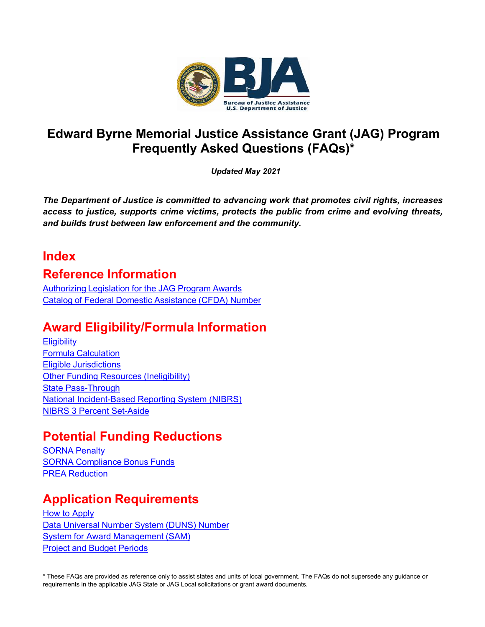

# **Edward Byrne Memorial Justice Assistance Grant (JAG) Program Frequently Asked Questions (FAQs)\***

*Updated May 2021*

*The Department of Justice is committed to advancing work that promotes civil rights, increases access to justice, supports crime victims, protects the public from crime and evolving threats, and builds trust between law enforcement and the community.*

# **Index**

# **Reference Information**

[Authorizing](#page-3-0) Legislation for the JAG Program Awards Catalog of Federal Domestic [Assistance](#page-3-1) (CFDA) Number

# **Award Eligibility/Formula Information**

**[Eligibility](#page-3-2)** Formula [Calculation](#page-4-0) Eligible [Jurisdictions](#page-5-0) Other Funding Resources [\(Ineligibility\)](#page-5-1) State [Pass-Through](#page-5-2) [National Incident-Based Reporting System \(NIBRS\)](#page-6-0) [NIBRS 3 Percent Set-Aside](#page-6-0)

# **Potential Funding Reductions**

[SORNA](#page-8-0) Penalty SORNA [Compliance](#page-9-0) Bonus Funds PREA [Reduction](#page-10-0)

# **Application Requirements**

[How to Apply](#page-10-1) Data [Universal](#page-11-0) Number System (DUNS) Number System for Award [Management](#page-12-0) (SAM) Project and Budget [Periods](#page-12-1)

\* These FAQs are provided as reference only to assist states and units of local government. The FAQs do not supersede any guidance or requirements in the applicable JAG State or JAG Local solicitations or grant award documents.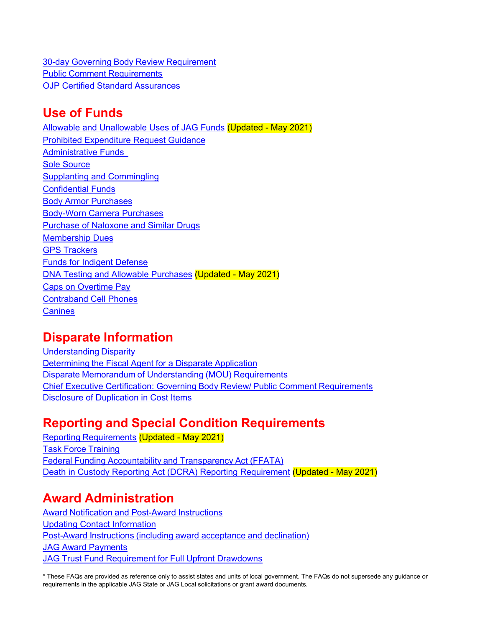30-day Governing Body Review [Requirement](#page-12-2) Public Comment [Requirements](#page-12-2) [OJP Certified Standard Assurances](#page-12-2)

# **Use of Funds**

[Allowable and Unallowable Uses of JAG Funds](#page-14-0) (Updated - May 2021) [Prohibited Expenditure Request Guidance](#page-14-1) [Administrative Funds](#page-18-0) [Sole Source](#page-19-0) [Supplanting and Commingling](#page-19-1) **[Confidential Funds](#page-17-0)** [Body Armor Purchases](#page-20-0) [Body-Worn Camera Purchases](#page-22-0) **[Purchase of Naloxone and Similar Drugs](#page-23-0)** [Membership Dues](#page-23-1) [GPS Trackers](#page-23-2) [Funds for Indigent Defense](#page-23-3) DNA Testing [and Allowable Purchases](#page-23-4) (Updated - May 2021) [Caps on Overtime Pay](#page-24-0) [Contraband Cell Phones](#page-25-0) **[Canines](#page-25-1)** 

# **Disparate Information**

[Understanding](#page-25-2) Disparity [Determining](#page-26-0) the Fiscal Agent for a Disparate Application Disparate Memorandum of [Understanding](#page-26-0) (MOU) Requirements [Chief Executive Certification: Governing](#page-26-1) Body Review/ Public Comment Requirements [Disclosure of Duplication](#page-26-2) in Cost Items

# **Reporting and Special Condition Requirements**

Reporting [Requirements](#page-27-0) (Updated - May 2021) Task Force [Training](#page-28-0) Federal Funding [Accountability](#page-28-1) and Transparency Act (FFATA) [Death in Custody Reporting Act \(DCRA\) Reporting Requirement](#page-28-2) (Updated - May 2021)

# **Award Administration**

Award Notification and [Post-Award](#page-29-0) Instructions [Updating Contact Information](#page-30-0) [Post-Award](#page-30-1) Instructions (including award acceptance and declination) JAG Award [Payments](#page-30-2) JAG Trust Fund [Requirement](#page-30-3) for Full Upfront Drawdowns

\* These FAQs are provided as reference only to assist states and units of local government. The FAQs do not supersede any guidance or requirements in the applicable JAG State or JAG Local solicitations or grant award documents.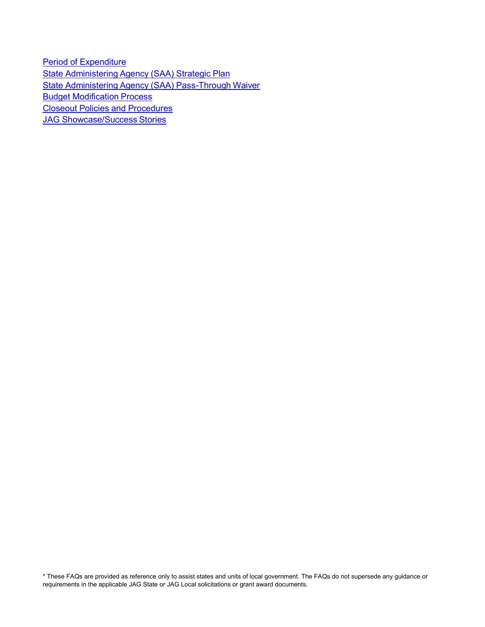Period of [Expenditure](#page-31-0) State [Administering](#page-31-1) Agency (SAA) Strategic Plan State Administering Agency (SAA) [Pass-Through](#page-31-2) Waiver Budget [Modification](#page-32-0) Process Closeout Policies and [Procedures](#page-32-1) JAG [Showcase/Success](#page-32-2) Stories

\* These FAQs are provided as reference only to assist states and units of local government. The FAQs do not supersede any guidance or requirements in the applicable JAG State or JAG Local solicitations or grant award documents.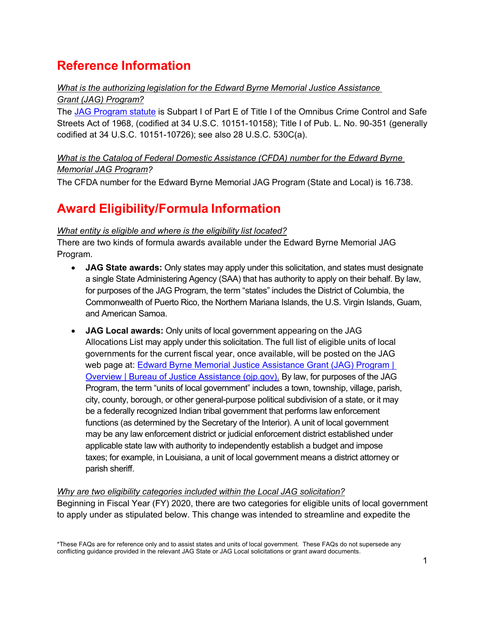# **Reference Information**

## <span id="page-3-0"></span>*What is the authorizing legislation for the Edward Byrne Memorial Justice Assistance Grant (JAG) Program?*

The [JAG Program statute](https://uscode.house.gov/view.xhtml?path=/prelim@title34/subtitle1/chapter101/subchapter5/partA&edition=prelim) is Subpart I of Part E of Title I of the Omnibus Crime Control and Safe Streets Act of 1968, (codified at 34 U.S.C. 10151-10158); Title I of Pub. L. No. 90-351 (generally codified at 34 U.S.C. 10151-10726); see also 28 U.S.C. 530C(a).

# <span id="page-3-1"></span>*What is the Catalog of Federal Domestic Assistance (CFDA) number for the Edward Byrne Memorial JAG Program?*

The CFDA number for the Edward Byrne Memorial JAG Program (State and Local) is 16.738.

# **Award Eligibility/Formula Information**

## <span id="page-3-2"></span>*What entity is eligible and where is the eligibility list located?*

There are two kinds of formula awards available under the Edward Byrne Memorial JAG Program.

- **JAG State awards:** Only states may apply under this solicitation, and states must designate a single State Administering Agency (SAA) that has authority to apply on their behalf. By law, for purposes of the JAG Program, the term "states" includes the District of Columbia, the Commonwealth of Puerto Rico, the Northern Mariana Islands, the U.S. Virgin Islands, Guam, and American Samoa.
- **JAG Local awards:** Only units of local government appearing on the JAG Allocations List may apply under this solicitation. The full list of eligible units of local governments for the current fiscal year, once available, will be posted on the JAG web page at: [Edward Byrne Memorial Justice Assistance Grant \(JAG\) Program |](https://bja.ojp.gov/program/jag/overview?Program_ID=59)  [Overview | Bureau of Justice Assistance \(ojp.gov\).](https://bja.ojp.gov/program/jag/overview?Program_ID=59) By law, for purposes of the JAG Program, the term "units of local government" includes a town, township, village, parish, city, county, borough, or other general-purpose political subdivision of a state, or it may be a federally recognized Indian tribal government that performs law enforcement functions (as determined by the Secretary of the Interior). A unit of local government may be any law enforcement district or judicial enforcement district established under applicable state law with authority to independently establish a budget and impose taxes; for example, in Louisiana, a unit of local government means a district attorney or parish sheriff.

#### *Why are two eligibility categories included within the Local JAG solicitation?* Beginning in Fiscal Year (FY) 2020, there are two categories for eligible units of local government to apply under as stipulated below. This change was intended to streamline and expedite the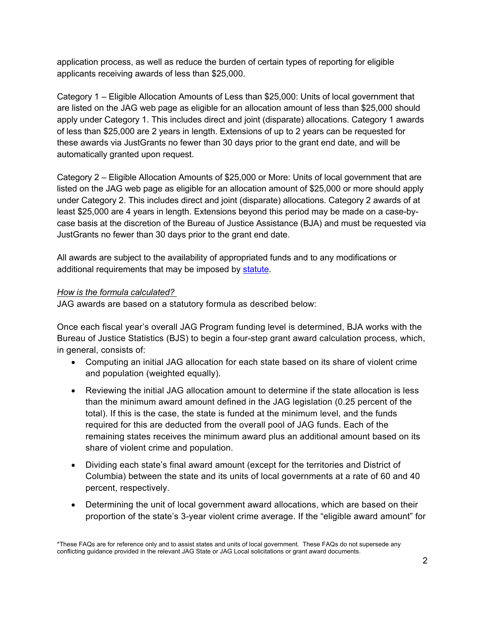application process, as well as reduce the burden of certain types of reporting for eligible applicants receiving awards of less than \$25,000.

Category 1 – Eligible Allocation Amounts of Less than \$25,000: Units of local government that are listed on the JAG web page as eligible for an allocation amount of less than \$25,000 should apply under Category 1. This includes direct and joint (disparate) allocations. Category 1 awards of less than \$25,000 are 2 years in length. Extensions of up to 2 years can be requested for these awards via JustGrants no fewer than 30 days prior to the grant end date, and will be automatically granted upon request.

Category 2 – Eligible Allocation Amounts of \$25,000 or More: Units of local government that are listed on the JAG web page as eligible for an allocation amount of \$25,000 or more should apply under Category 2. This includes direct and joint (disparate) allocations. Category 2 awards of at least \$25,000 are 4 years in length. Extensions beyond this period may be made on a case-bycase basis at the discretion of the Bureau of Justice Assistance (BJA) and must be requested via JustGrants no fewer than 30 days prior to the grant end date.

All awards are subject to the availability of appropriated funds and to any modifications or additional requirements that may be imposed by [statute.](https://uscode.house.gov/view.xhtml?path=/prelim@title34/subtitle1/chapter101/subchapter5/partA&edition=prelim)

#### <span id="page-4-0"></span>*How is the formula calculated?*

JAG awards are based on a statutory formula as described below:

Once each fiscal year's overall JAG Program funding level is determined, BJA works with the Bureau of Justice Statistics (BJS) to begin a four-step grant award calculation process, which, in general, consists of:

- Computing an initial JAG allocation for each state based on its share of violent crime and population (weighted equally).
- Reviewing the initial JAG allocation amount to determine if the state allocation is less than the minimum award amount defined in the JAG legislation (0.25 percent of the total). If this is the case, the state is funded at the minimum level, and the funds required for this are deducted from the overall pool of JAG funds. Each of the remaining states receives the minimum award plus an additional amount based on its share of violent crime and population.
- Dividing each state's final award amount (except for the territories and District of Columbia) between the state and its units of local governments at a rate of 60 and 40 percent, respectively.
- Determining the unit of local government award allocations, which are based on their proportion of the state's 3-year violent crime average. If the "eligible award amount" for

<sup>\*</sup>These FAQs are for reference only and to assist states and units of local government. These FAQs do not supersede any conflicting guidance provided in the relevant JAG State or JAG Local solicitations or grant award documents.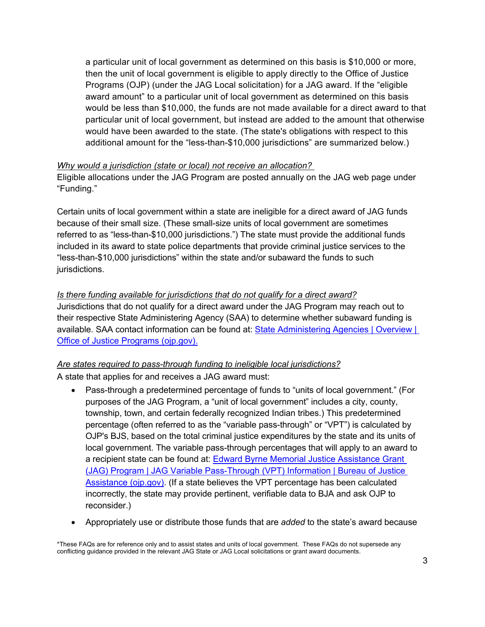a particular unit of local government as determined on this basis is \$10,000 or more, then the unit of local government is eligible to apply directly to the Office of Justice Programs (OJP) (under the JAG Local solicitation) for a JAG award. If the "eligible award amount" to a particular unit of local government as determined on this basis would be less than \$10,000, the funds are not made available for a direct award to that particular unit of local government, but instead are added to the amount that otherwise would have been awarded to the state. (The state's obligations with respect to this additional amount for the "less-than-\$10,000 jurisdictions" are summarized below.)

#### <span id="page-5-0"></span>*Why would a jurisdiction (state or local) not receive an allocation?*

Eligible allocations under the JAG Program are posted annually on the JAG web page under "Funding."

Certain units of local government within a state are ineligible for a direct award of JAG funds because of their small size. (These small-size units of local government are sometimes referred to as "less-than-\$10,000 jurisdictions.") The state must provide the additional funds included in its award to state police departments that provide criminal justice services to the "less-than-\$10,000 jurisdictions" within the state and/or subaward the funds to such jurisdictions.

### <span id="page-5-1"></span>*Is there funding available for jurisdictions that do not qualify for a direct award?*

Jurisdictions that do not qualify for a direct award under the JAG Program may reach out to their respective State Administering Agency (SAA) to determine whether subaward funding is available. SAA contact information can be found at: State Administering Agencies | Overview | [Office of Justice Programs \(ojp.gov\).](https://www.ojp.gov/funding/state-administering-agencies/overview)

### <span id="page-5-2"></span>*Are states required to pass-through funding to ineligible local jurisdictions?*

A state that applies for and receives a JAG award must:

- Pass-through a predetermined percentage of funds to "units of local government." (For purposes of the JAG Program, a "unit of local government" includes a city, county, township, town, and certain federally recognized Indian tribes.) This predetermined percentage (often referred to as the "variable pass-through" or "VPT") is calculated by OJP's BJS, based on the total criminal justice expenditures by the state and its units of local government. The variable pass-through percentages that will apply to an award to a recipient state can be found at: [Edward Byrne Memorial Justice Assistance Grant](https://bja.ojp.gov/program/jag/jag-variable-pass-through-vpt-information)  [\(JAG\) Program | JAG Variable Pass-Through \(VPT\) Information | Bureau of Justice](https://bja.ojp.gov/program/jag/jag-variable-pass-through-vpt-information)  [Assistance \(ojp.gov\).](https://bja.ojp.gov/program/jag/jag-variable-pass-through-vpt-information) (If a state believes the VPT percentage has been calculated incorrectly, the state may provide pertinent, verifiable data to BJA and ask OJP to reconsider.)
- Appropriately use or distribute those funds that are *added* to the state's award because

<sup>\*</sup>These FAQs are for reference only and to assist states and units of local government. These FAQs do not supersede any conflicting guidance provided in the relevant JAG State or JAG Local solicitations or grant award documents.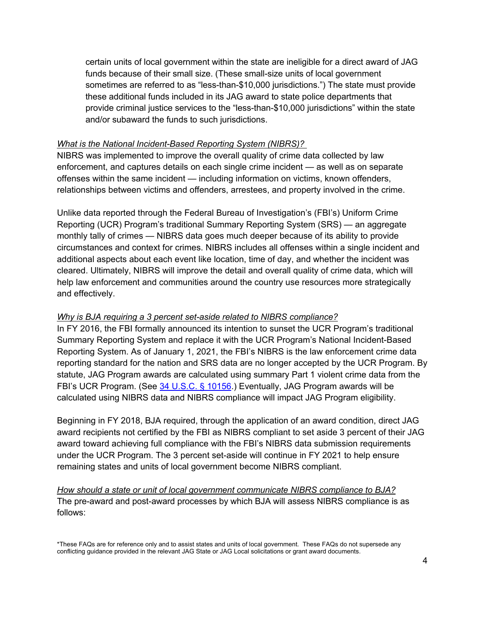certain units of local government within the state are ineligible for a direct award of JAG funds because of their small size. (These small-size units of local government sometimes are referred to as "less-than-\$10,000 jurisdictions.") The state must provide these additional funds included in its JAG award to state police departments that provide criminal justice services to the "less-than-\$10,000 jurisdictions" within the state and/or subaward the funds to such jurisdictions.

#### *What is the National Incident-Based Reporting System (NIBRS)?*

NIBRS was implemented to improve the overall quality of crime data collected by law enforcement, and captures details on each single crime incident — as well as on separate offenses within the same incident — including information on victims, known offenders, relationships between victims and offenders, arrestees, and property involved in the crime.

Unlike data reported through the Federal Bureau of Investigation's (FBI's) Uniform Crime Reporting (UCR) Program's traditional Summary Reporting System (SRS) — an aggregate monthly tally of crimes — NIBRS data goes much deeper because of its ability to provide circumstances and context for crimes. NIBRS includes all offenses within a single incident and additional aspects about each event like location, time of day, and whether the incident was cleared. Ultimately, NIBRS will improve the detail and overall quality of crime data, which will help law enforcement and communities around the country use resources more strategically and effectively.

#### <span id="page-6-0"></span>*Why is BJA requiring a 3 percent set-aside related to NIBRS compliance?*

In FY 2016, the FBI formally announced its intention to sunset the UCR Program's traditional Summary Reporting System and replace it with the UCR Program's National Incident-Based Reporting System. As of January 1, 2021, the FBI's NIBRS is the law enforcement crime data reporting standard for the nation and SRS data are no longer accepted by the UCR Program. By statute, JAG Program awards are calculated using summary Part 1 violent crime data from the FBI's UCR Program. (See [34 U.S.C. § 10156.](https://uscode.house.gov/view.xhtml?path=/prelim@title34/subtitle1/chapter101/subchapter5/partA&edition=prelim)) Eventually, JAG Program awards will be calculated using NIBRS data and NIBRS compliance will impact JAG Program eligibility.

Beginning in FY 2018, BJA required, through the application of an award condition, direct JAG award recipients not certified by the FBI as NIBRS compliant to set aside 3 percent of their JAG award toward achieving full compliance with the FBI's NIBRS data submission requirements under the UCR Program. The 3 percent set-aside will continue in FY 2021 to help ensure remaining states and units of local government become NIBRS compliant.

*How should a state or unit of local government communicate NIBRS compliance to BJA?* The pre-award and post-award processes by which BJA will assess NIBRS compliance is as follows: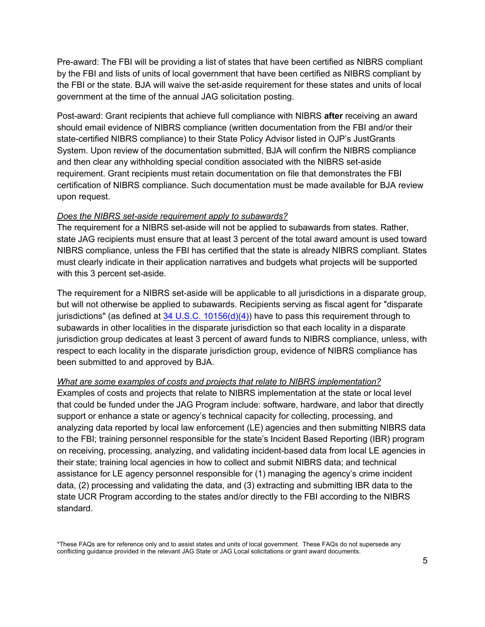Pre-award: The FBI will be providing a list of states that have been certified as NIBRS compliant by the FBI and lists of units of local government that have been certified as NIBRS compliant by the FBI or the state. BJA will waive the set-aside requirement for these states and units of local government at the time of the annual JAG solicitation posting.

Post-award: Grant recipients that achieve full compliance with NIBRS **after** receiving an award should email evidence of NIBRS compliance (written documentation from the FBI and/or their state-certified NIBRS compliance) to their State Policy Advisor listed in OJP's JustGrants System. Upon review of the documentation submitted, BJA will confirm the NIBRS compliance and then clear any withholding special condition associated with the NIBRS set-aside requirement. Grant recipients must retain documentation on file that demonstrates the FBI certification of NIBRS compliance. Such documentation must be made available for BJA review upon request.

#### *Does the NIBRS set-aside requirement apply to subawards?*

The requirement for a NIBRS set-aside will not be applied to subawards from states. Rather, state JAG recipients must ensure that at least 3 percent of the total award amount is used toward NIBRS compliance, unless the FBI has certified that the state is already NIBRS compliant. States must clearly indicate in their application narratives and budgets what projects will be supported with this 3 percent set-aside.

The requirement for a NIBRS set-aside will be applicable to all jurisdictions in a disparate group, but will not otherwise be applied to subawards. Recipients serving as fiscal agent for "disparate jurisdictions" (as defined at  $34 \text{ U.S.C. } 10156(d)(4)$ ) have to pass this requirement through to subawards in other localities in the disparate jurisdiction so that each locality in a disparate jurisdiction group dedicates at least 3 percent of award funds to NIBRS compliance, unless, with respect to each locality in the disparate jurisdiction group, evidence of NIBRS compliance has been submitted to and approved by BJA.

#### *What are some examples of costs and projects that relate to NIBRS implementation?*

Examples of costs and projects that relate to NIBRS implementation at the state or local level that could be funded under the JAG Program include: software, hardware, and labor that directly support or enhance a state or agency's technical capacity for collecting, processing, and analyzing data reported by local law enforcement (LE) agencies and then submitting NIBRS data to the FBI; training personnel responsible for the state's Incident Based Reporting (IBR) program on receiving, processing, analyzing, and validating incident-based data from local LE agencies in their state; training local agencies in how to collect and submit NIBRS data; and technical assistance for LE agency personnel responsible for (1) managing the agency's crime incident data, (2) processing and validating the data, and (3) extracting and submitting IBR data to the state UCR Program according to the states and/or directly to the FBI according to the NIBRS standard.

<sup>\*</sup>These FAQs are for reference only and to assist states and units of local government. These FAQs do not supersede any conflicting guidance provided in the relevant JAG State or JAG Local solicitations or grant award documents.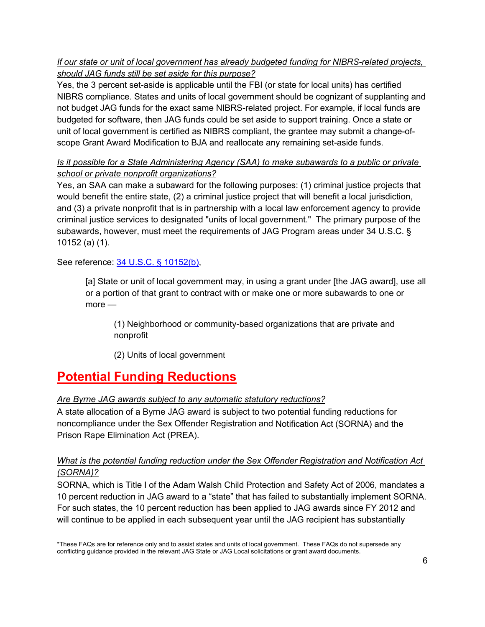## *If our state or unit of local government has already budgeted funding for NIBRS-related projects, should JAG funds still be set aside for this purpose?*

Yes, the 3 percent set-aside is applicable until the FBI (or state for local units) has certified NIBRS compliance. States and units of local government should be cognizant of supplanting and not budget JAG funds for the exact same NIBRS-related project. For example, if local funds are budgeted for software, then JAG funds could be set aside to support training. Once a state or unit of local government is certified as NIBRS compliant, the grantee may submit a change-ofscope Grant Award Modification to BJA and reallocate any remaining set-aside funds.

## *Is it possible for a State Administering Agency (SAA) to make subawards to a public or private school or private nonprofit organizations?*

Yes, an SAA can make a subaward for the following purposes: (1) criminal justice projects that would benefit the entire state, (2) a criminal justice project that will benefit a local jurisdiction, and (3) a private nonprofit that is in partnership with a local law enforcement agency to provide criminal justice services to designated "units of local government." The primary purpose of the subawards, however, must meet the requirements of JAG Program areas under 34 U.S.C. § 10152 (a) (1).

See reference: 34 U.S.C. [§ 10152\(b\),](https://uscode.house.gov/view.xhtml?path=/prelim@title34/subtitle1/chapter101/subchapter5/partA&edition=prelim)

[a] State or unit of local government may, in using a grant under [the JAG award], use all or a portion of that grant to contract with or make one or more subawards to one or more —

(1) Neighborhood or community-based organizations that are private and nonprofit

(2) Units of local government

# **Potential Funding Reductions**

### *Are Byrne JAG awards subject to any automatic statutory reductions?*

A state allocation of a Byrne JAG award is subject to two potential funding reductions for noncompliance under the Sex Offender Registration and Notification Act (SORNA) and the Prison Rape Elimination Act (PREA).

## <span id="page-8-0"></span>*What is the potential funding reduction under the Sex Offender Registration and Notification Act (SORNA)?*

SORNA, which is Title I of the Adam Walsh Child Protection and Safety Act of 2006, mandates a 10 percent reduction in JAG award to a "state" that has failed to substantially implement SORNA. For such states, the 10 percent reduction has been applied to JAG awards since FY 2012 and will continue to be applied in each subsequent year until the JAG recipient has substantially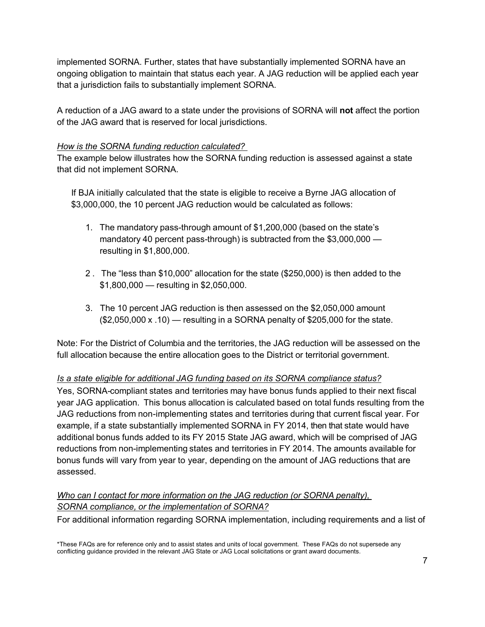implemented SORNA. Further, states that have substantially implemented SORNA have an ongoing obligation to maintain that status each year. A JAG reduction will be applied each year that a jurisdiction fails to substantially implement SORNA.

A reduction of a JAG award to a state under the provisions of SORNA will **not** affect the portion of the JAG award that is reserved for local jurisdictions.

#### *How is the SORNA funding reduction calculated?*

The example below illustrates how the SORNA funding reduction is assessed against a state that did not implement SORNA.

If BJA initially calculated that the state is eligible to receive a Byrne JAG allocation of \$3,000,000, the 10 percent JAG reduction would be calculated as follows:

- 1. The mandatory pass-through amount of \$1,200,000 (based on the state's mandatory 40 percent pass-through) is subtracted from the \$3,000,000 resulting in \$1,800,000.
- 2. The "less than \$10,000" allocation for the state (\$250,000) is then added to the \$1,800,000 - resulting in \$2,050,000.
- 3. The 10 percent JAG reduction is then assessed on the \$2,050,000 amount (\$2,050,000 x .10) — resulting in a SORNA penalty of \$205,000 for the state.

Note: For the District of Columbia and the territories, the JAG reduction will be assessed on the full allocation because the entire allocation goes to the District or territorial government.

### <span id="page-9-0"></span>*Is a state eligible for additional JAG funding based on its SORNA compliance status?*

Yes, SORNA-compliant states and territories may have bonus funds applied to their next fiscal year JAG application. This bonus allocation is calculated based on total funds resulting from the JAG reductions from non-implementing states and territories during that current fiscal year. For example, if a state substantially implemented SORNA in FY 2014, then that state would have additional bonus funds added to its FY 2015 State JAG award, which will be comprised of JAG reductions from non-implementing states and territories in FY 2014. The amounts available for bonus funds will vary from year to year, depending on the amount of JAG reductions that are assessed.

## *Who can I contact for more information on the JAG reduction (or SORNA penalty), SORNA compliance, or the implementation of SORNA?*

For additional information regarding SORNA implementation, including requirements and a list of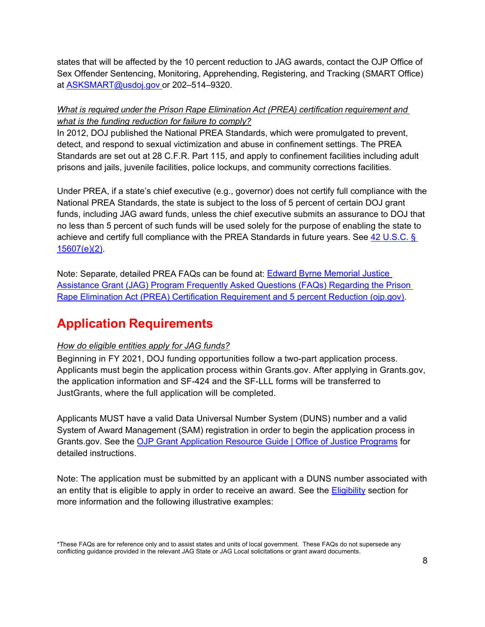states that will be affected by the 10 percent reduction to JAG awards, contact the OJP Office of Sex Offender Sentencing, Monitoring, Apprehending, Registering, and Tracking (SMART Office) at [ASKSMART@usdoj.gov o](mailto:ASKSMART@usdoj.gov)r 202–514–9320.

### <span id="page-10-0"></span>*What is required under the Prison Rape Elimination Act (PREA) certification requirement and what is the funding reduction for failure to comply?*

In 2012, DOJ published the National PREA Standards, which were promulgated to prevent, detect, and respond to sexual victimization and abuse in confinement settings. The PREA Standards are set out at 28 C.F.R. Part 115, and apply to confinement facilities including adult prisons and jails, juvenile facilities, police lockups, and community corrections facilities.

Under PREA, if a state's chief executive (e.g., governor) does not certify full compliance with the National PREA Standards, the state is subject to the loss of 5 percent of certain DOJ grant funds, including JAG award funds, unless the chief executive submits an assurance to DOJ that no less than 5 percent of such funds will be used solely for the purpose of enabling the state to achieve and certify full compliance with the PREA Standards in future years. See [42 U.S.C.](https://uscode.house.gov/statutes/pl/114/324.pdf) § [15607\(e\)\(2\).](https://uscode.house.gov/statutes/pl/114/324.pdf)

Note: Separate, detailed PREA FAQs can be found at: [Edward Byrne Memorial Justice](https://bja.ojp.gov/sites/g/files/xyckuh186/files/media/document/JAG-PREA-FAQ_0.pdf)  [Assistance Grant \(JAG\) Program Frequently Asked Questions \(FAQs\) Regarding the Prison](https://bja.ojp.gov/sites/g/files/xyckuh186/files/media/document/JAG-PREA-FAQ_0.pdf)  [Rape Elimination Act \(PREA\) Certification Requirement and 5 percent Reduction \(ojp.gov\).](https://bja.ojp.gov/sites/g/files/xyckuh186/files/media/document/JAG-PREA-FAQ_0.pdf)

# **Application Requirements**

### <span id="page-10-1"></span>*How do eligible entities apply for JAG funds?*

Beginning in FY 2021, DOJ funding opportunities follow a two-part application process. Applicants must begin the application process within Grants.gov. After applying in Grants.gov, the application information and SF-424 and the SF-LLL forms will be transferred to JustGrants, where the full application will be completed.

Applicants MUST have a valid Data Universal Number System (DUNS) number and a valid System of Award Management (SAM) registration in order to begin the application process in Grants.gov. See the [OJP Grant Application Resource Guide | Office of Justice Programs](https://www.ojp.gov/funding/apply/ojp-grant-application-resource-guide#apply) for detailed instructions.

Note: The application must be submitted by an applicant with a DUNS number associated with an entity that is eligible to apply in order to receive an award. See the [Eligibility](#page-3-2) section for more information and the following illustrative examples:

<sup>\*</sup>These FAQs are for reference only and to assist states and units of local government. These FAQs do not supersede any conflicting guidance provided in the relevant JAG State or JAG Local solicitations or grant award documents.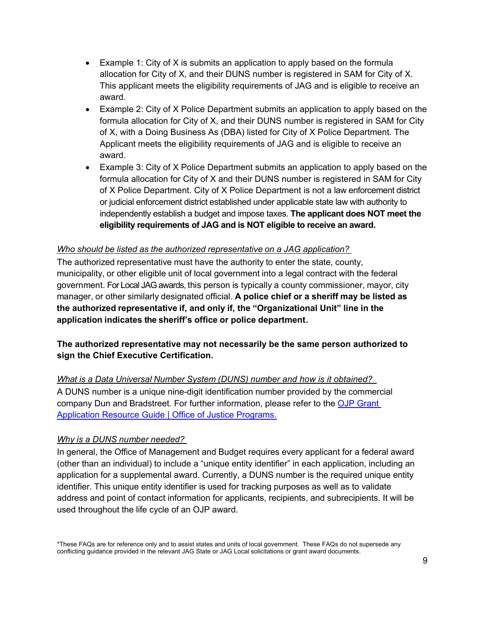- Example 1: City of X is submits an application to apply based on the formula allocation for City of X, and their DUNS number is registered in SAM for City of X. This applicant meets the eligibility requirements of JAG and is eligible to receive an award.
- Example 2: City of X Police Department submits an application to apply based on the formula allocation for City of X, and their DUNS number is registered in SAM for City of X, with a Doing Business As (DBA) listed for City of X Police Department. The Applicant meets the eligibility requirements of JAG and is eligible to receive an award.
- Example 3: City of X Police Department submits an application to apply based on the formula allocation for City of X and their DUNS number is registered in SAM for City of X Police Department. City of X Police Department is not a law enforcement district or judicial enforcement district established under applicable state law with authority to independently establish a budget and impose taxes. **The applicant does NOT meet the eligibility requirements of JAG and is NOT eligible to receive an award.**

#### *Who should be listed as the authorized representative on a JAG application?*

The authorized representative must have the authority to enter the state, county, municipality, or other eligible unit of local government into a legal contract with the federal government. For Local JAG awards, this person is typically a county commissioner, mayor, city manager, or other similarly designated official. **A police chief or a sheriff may be listed as the authorized representative if, and only if, the "Organizational Unit" line in the application indicates the sheriff's office or police department.**

**The authorized representative may not necessarily be the same person authorized to sign the Chief Executive Certification.**

<span id="page-11-0"></span>*What is a Data Universal Number System (DUNS) number and how is it obtained?* A DUNS number is a unique nine-digit identification number provided by the commercial company Dun and Bradstreet. For further information, please refer to the [OJP Grant](https://www.ojp.gov/funding/apply/ojp-grant-application-resource-guide#ojp-application-submission-steps)  [Application Resource Guide | Office of Justice Programs](https://www.ojp.gov/funding/apply/ojp-grant-application-resource-guide#ojp-application-submission-steps)[.](https://www.ojp.gov/funding/Apply/Resources/Grant-App-Resource-Guide.htm)

#### *Why is a DUNS number needed?*

In general, the Office of Management and Budget requires every applicant for a federal award (other than an individual) to include a "unique entity identifier" in each application, including an application for a supplemental award. Currently, a DUNS number is the required unique entity identifier. This unique entity identifier is used for tracking purposes as well as to validate address and point of contact information for applicants, recipients, and subrecipients. It will be used throughout the life cycle of an OJP award.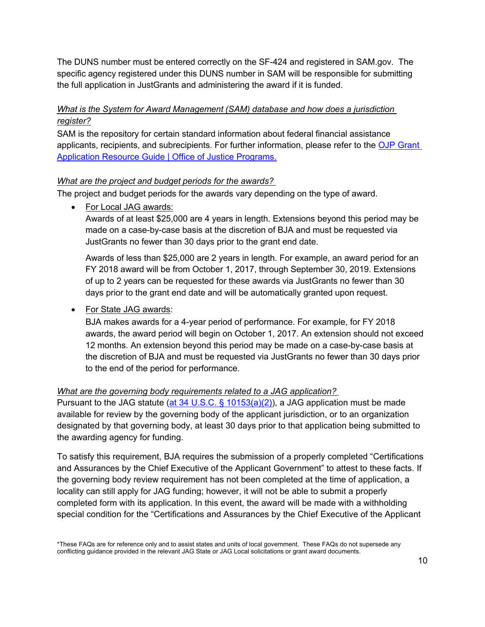The DUNS number must be entered correctly on the SF-424 and registered in SAM.gov. The specific agency registered under this DUNS number in SAM will be responsible for submitting the full application in JustGrants and administering the award if it is funded.

## <span id="page-12-0"></span>*What is the System for Award Management (SAM) database and how does a jurisdiction register?*

SAM is the repository for certain standard information about federal financial assistance applicants, recipients, and subrecipients. For further information, please refer to the [OJP Grant](https://www.ojp.gov/funding/apply/ojp-grant-application-resource-guide#ojp-application-submission-steps)  [Application Resource Guide | Office of Justice Programs.](https://www.ojp.gov/funding/apply/ojp-grant-application-resource-guide#ojp-application-submission-steps)

## <span id="page-12-1"></span>*What are the project and budget periods for the awards?*

The project and budget periods for the awards vary depending on the type of award.

• For Local JAG awards:

Awards of at least \$25,000 are 4 years in length. Extensions beyond this period may be made on a case-by-case basis at the discretion of BJA and must be requested via JustGrants no fewer than 30 days prior to the grant end date.

Awards of less than \$25,000 are 2 years in length. For example, an award period for an FY 2018 award will be from October 1, 2017, through September 30, 2019. Extensions of up to 2 years can be requested for these awards via JustGrants no fewer than 30 days prior to the grant end date and will be automatically granted upon request.

## • For State JAG awards:

BJA makes awards for a 4-year period of performance. For example, for FY 2018 awards, the award period will begin on October 1, 2017. An extension should not exceed 12 months. An extension beyond this period may be made on a case-by-case basis at the discretion of BJA and must be requested via JustGrants no fewer than 30 days prior to the end of the period for performance.

### <span id="page-12-2"></span>*What are the governing body requirements related to a JAG application?*

Pursuant to the JAG statute [\(at 34 U.S.C. § 10153\(a\)\(2\)\)](https://uscode.house.gov/view.xhtml?path=/prelim@title34/subtitle1/chapter101/subchapter5/partA&edition=prelim), a JAG application must be made available for review by the governing body of the applicant jurisdiction, or to an organization designated by that governing body, at least 30 days prior to that application being submitted to the awarding agency for funding.

To satisfy this requirement, BJA requires the submission of a properly completed "Certifications and Assurances by the Chief Executive of the Applicant Government" to attest to these facts. If the governing body review requirement has not been completed at the time of application, a locality can still apply for JAG funding; however, it will not be able to submit a properly completed form with its application. In this event, the award will be made with a withholding special condition for the "Certifications and Assurances by the Chief Executive of the Applicant

<sup>\*</sup>These FAQs are for reference only and to assist states and units of local government. These FAQs do not supersede any conflicting guidance provided in the relevant JAG State or JAG Local solicitations or grant award documents.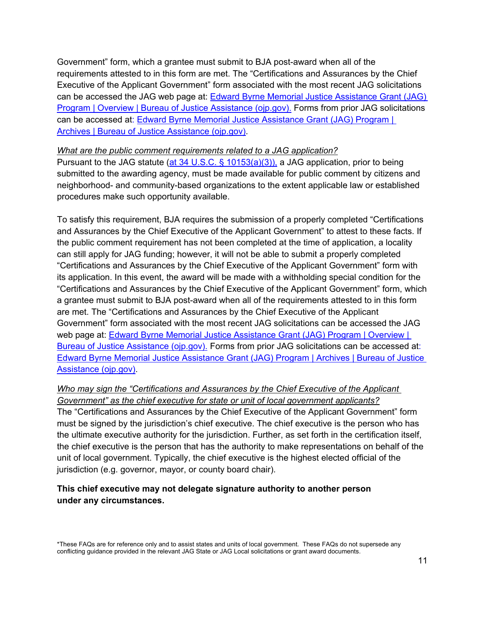Government" form, which a grantee must submit to BJA post-award when all of the requirements attested to in this form are met. The "Certifications and Assurances by the Chief Executive of the Applicant Government" form associated with the most recent JAG solicitations can be accessed the JAG web page at: [Edward Byrne Memorial Justice Assistance Grant \(JAG\)](https://bja.ojp.gov/program/jag/overview?Program_ID=59)  [Program | Overview | Bureau of Justice Assistance \(ojp.gov\).](https://bja.ojp.gov/program/jag/overview?Program_ID=59) Forms from prior JAG solicitations can be accessed at: [Edward Byrne Memorial Justice Assistance Grant \(JAG\) Program |](https://bja.ojp.gov/program/jag/archives)  [Archives | Bureau of Justice Assistance \(ojp.gov\).](https://bja.ojp.gov/program/jag/archives)

#### *What are the public comment requirements related to a JAG application?*

Pursuant to the JAG statute [\(at 34 U.S.C. § 10153\(a\)\(3\)\),](https://uscode.house.gov/view.xhtml?path=/prelim@title34/subtitle1/chapter101/subchapter5/partA&edition=prelim) a JAG application, prior to being submitted to the awarding agency, must be made available for public comment by citizens and neighborhood- and community-based organizations to the extent applicable law or established procedures make such opportunity available.

To satisfy this requirement, BJA requires the submission of a properly completed "Certifications and Assurances by the Chief Executive of the Applicant Government" to attest to these facts. If the public comment requirement has not been completed at the time of application, a locality can still apply for JAG funding; however, it will not be able to submit a properly completed "Certifications and Assurances by the Chief Executive of the Applicant Government" form with its application. In this event, the award will be made with a withholding special condition for the "Certifications and Assurances by the Chief Executive of the Applicant Government" form, which a grantee must submit to BJA post-award when all of the requirements attested to in this form are met. The "Certifications and Assurances by the Chief Executive of the Applicant Government" form associated with the most recent JAG solicitations can be accessed the JAG web page at: **Edward Byrne Memorial Justice Assistance Grant (JAG) Program | Overview |** [Bureau of Justice Assistance \(ojp.gov\).](https://bja.ojp.gov/program/jag/overview?Program_ID=59) Forms from prior JAG solicitations can be accessed at: [Edward Byrne Memorial Justice Assistance Grant \(JAG\) Program | Archives | Bureau of Justice](https://bja.ojp.gov/program/jag/archives)  [Assistance \(ojp.gov\).](https://bja.ojp.gov/program/jag/archives)

#### *Who may sign the "Certifications and Assurances by the Chief Executive of the Applicant Government" as the chief executive for state or unit of local government applicants?*

The "Certifications and Assurances by the Chief Executive of the Applicant Government" form must be signed by the jurisdiction's chief executive. The chief executive is the person who has the ultimate executive authority for the jurisdiction. Further, as set forth in the certification itself, the chief executive is the person that has the authority to make representations on behalf of the unit of local government. Typically, the chief executive is the highest elected official of the jurisdiction (e.g. governor, mayor, or county board chair).

### **This chief executive may not delegate signature authority to another person under any circumstances.**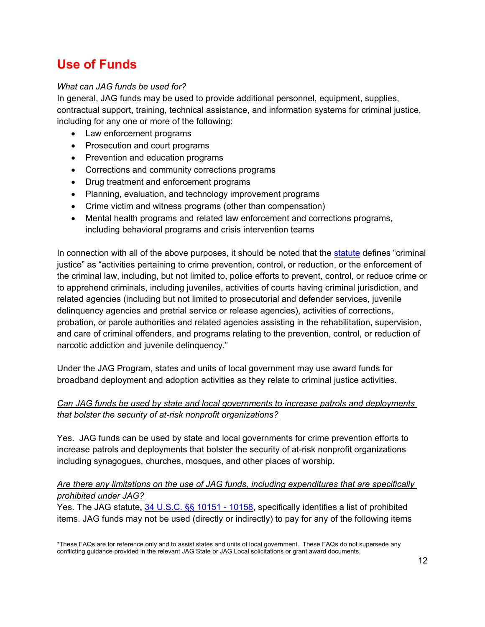# **Use of Funds**

## <span id="page-14-0"></span>*What can JAG funds be used for?*

In general, JAG funds may be used to provide additional personnel, equipment, supplies, contractual support, training, technical assistance, and information systems for criminal justice, including for any one or more of the following:

- Law enforcement programs
- Prosecution and court programs
- Prevention and education programs
- Corrections and community corrections programs
- Drug treatment and enforcement programs
- Planning, evaluation, and technology improvement programs
- Crime victim and witness programs (other than compensation)
- Mental health programs and related law enforcement and corrections programs, including behavioral programs and crisis intervention teams

In connection with all of the above purposes, it should be noted that the [statute](https://uscode.house.gov/view.xhtml?path=/prelim@title34/subtitle1/chapter101/subchapter5/partA&edition=prelim) defines "criminal justice" as "activities pertaining to crime prevention, control, or reduction, or the enforcement of the criminal law, including, but not limited to, police efforts to prevent, control, or reduce crime or to apprehend criminals, including juveniles, activities of courts having criminal jurisdiction, and related agencies (including but not limited to prosecutorial and defender services, juvenile delinquency agencies and pretrial service or release agencies), activities of corrections, probation, or parole authorities and related agencies assisting in the rehabilitation, supervision, and care of criminal offenders, and programs relating to the prevention, control, or reduction of narcotic addiction and juvenile delinquency."

Under the JAG Program, states and units of local government may use award funds for broadband deployment and adoption activities as they relate to criminal justice activities.

## *Can JAG funds be used by state and local governments to increase patrols and deployments that bolster the security of at-risk nonprofit organizations?*

Yes. JAG funds can be used by state and local governments for crime prevention efforts to increase patrols and deployments that bolster the security of at-risk nonprofit organizations including synagogues, churches, mosques, and other places of worship.

#### <span id="page-14-1"></span>*Are there any limitations on the use of JAG funds, including expenditures that are specifically prohibited under JAG?*

Yes. The JAG statute**,** [34 U.S.C. §§ 10151 -](https://uscode.house.gov/view.xhtml?path=/prelim@title34/subtitle1/chapter101/subchapter5/partA&edition=prelim) 10158, specifically identifies a list of prohibited items. JAG funds may not be used (directly or indirectly) to pay for any of the following items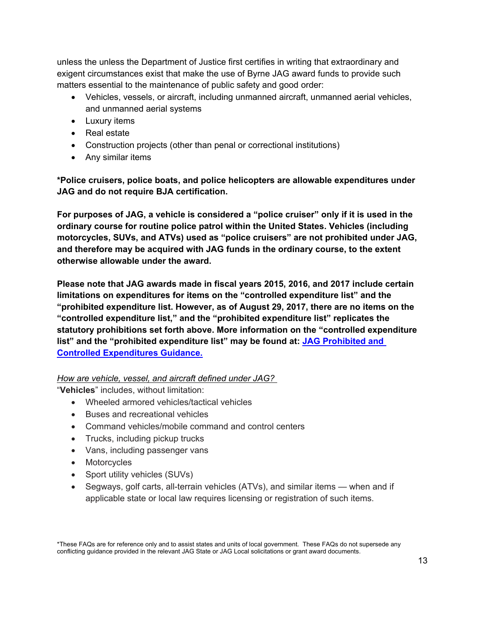unless the unless the Department of Justice first certifies in writing that extraordinary and exigent circumstances exist that make the use of Byrne JAG award funds to provide such matters essential to the maintenance of public safety and good order:

- Vehicles, vessels, or aircraft, including unmanned aircraft, unmanned aerial vehicles, and unmanned aerial systems
- Luxury items
- Real estate
- Construction projects (other than penal or correctional institutions)
- Any similar items

**\*Police cruisers, police boats, and police helicopters are allowable expenditures under JAG and do not require BJA certification.** 

**For purposes of JAG, a vehicle is considered a "police cruiser" only if it is used in the ordinary course for routine police patrol within the United States. Vehicles (including motorcycles, SUVs, and ATVs) used as "police cruisers" are not prohibited under JAG, and therefore may be acquired with JAG funds in the ordinary course, to the extent otherwise allowable under the award.**

**Please note that JAG awards made in fiscal years 2015, 2016, and 2017 include certain limitations on expenditures for items on the "controlled expenditure list" and the "prohibited expenditure list. However, as of August 29, 2017, there are no items on the "controlled expenditure list," and the "prohibited expenditure list" replicates the statutory prohibitions set forth above. More information on the "controlled expenditure list" and the "prohibited expenditure list" may be found at: [JAG Prohibited and](https://bja.ojp.gov/sites/g/files/xyckuh186/files/media/document/jagcontrolledpurchaselist.pdf)  [Controlled Expenditures Guidance.](https://bja.ojp.gov/sites/g/files/xyckuh186/files/media/document/jagcontrolledpurchaselist.pdf)**

### *How are vehicle, vessel, and aircraft defined under JAG?*

"**Vehicles**" includes, without limitation:

- Wheeled armored vehicles/tactical vehicles
- Buses and recreational vehicles
- Command vehicles/mobile command and control centers
- Trucks, including pickup trucks
- Vans, including passenger vans
- Motorcycles
- Sport utility vehicles (SUVs)
- Segways, golf carts, all-terrain vehicles (ATVs), and similar items when and if applicable state or local law requires licensing or registration of such items.

<sup>\*</sup>These FAQs are for reference only and to assist states and units of local government. These FAQs do not supersede any conflicting guidance provided in the relevant JAG State or JAG Local solicitations or grant award documents.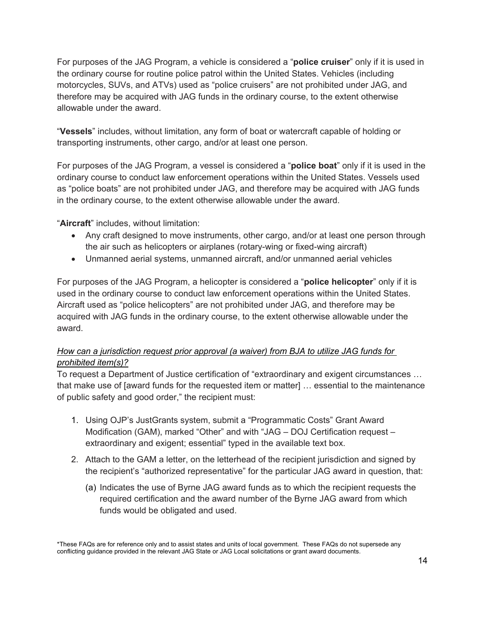For purposes of the JAG Program, a vehicle is considered a "**police cruiser**" only if it is used in the ordinary course for routine police patrol within the United States. Vehicles (including motorcycles, SUVs, and ATVs) used as "police cruisers" are not prohibited under JAG, and therefore may be acquired with JAG funds in the ordinary course, to the extent otherwise allowable under the award.

"**Vessels**" includes, without limitation, any form of boat or watercraft capable of holding or transporting instruments, other cargo, and/or at least one person.

For purposes of the JAG Program, a vessel is considered a "**police boat**" only if it is used in the ordinary course to conduct law enforcement operations within the United States. Vessels used as "police boats" are not prohibited under JAG, and therefore may be acquired with JAG funds in the ordinary course, to the extent otherwise allowable under the award.

"**Aircraft**" includes, without limitation:

- Any craft designed to move instruments, other cargo, and/or at least one person through the air such as helicopters or airplanes (rotary-wing or fixed-wing aircraft)
- Unmanned aerial systems, unmanned aircraft, and/or unmanned aerial vehicles

For purposes of the JAG Program, a helicopter is considered a "**police helicopter**" only if it is used in the ordinary course to conduct law enforcement operations within the United States. Aircraft used as "police helicopters" are not prohibited under JAG, and therefore may be acquired with JAG funds in the ordinary course, to the extent otherwise allowable under the award.

### *How can a jurisdiction request prior approval (a waiver) from BJA to utilize JAG funds for prohibited item(s)?*

To request a Department of Justice certification of "extraordinary and exigent circumstances … that make use of [award funds for the requested item or matter] … essential to the maintenance of public safety and good order," the recipient must:

- 1. Using OJP's JustGrants system, submit a "Programmatic Costs" Grant Award Modification (GAM), marked "Other" and with "JAG – DOJ Certification request – extraordinary and exigent; essential" typed in the available text box.
- 2. Attach to the GAM a letter, on the letterhead of the recipient jurisdiction and signed by the recipient's "authorized representative" for the particular JAG award in question, that:
	- (a) Indicates the use of Byrne JAG award funds as to which the recipient requests the required certification and the award number of the Byrne JAG award from which funds would be obligated and used.

<sup>\*</sup>These FAQs are for reference only and to assist states and units of local government. These FAQs do not supersede any conflicting guidance provided in the relevant JAG State or JAG Local solicitations or grant award documents.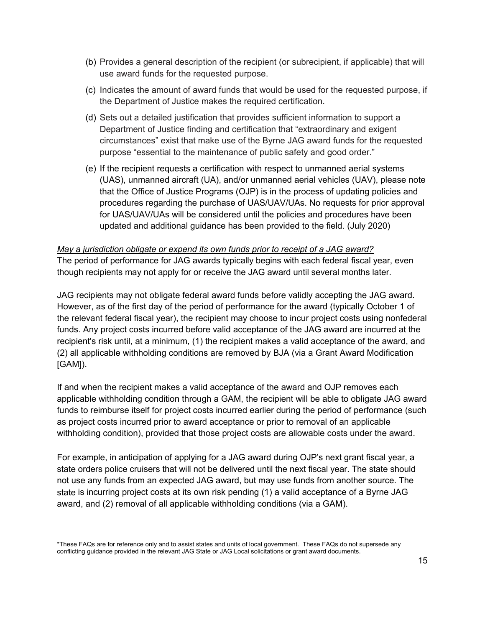- (b) Provides a general description of the recipient (or subrecipient, if applicable) that will use award funds for the requested purpose.
- (c) Indicates the amount of award funds that would be used for the requested purpose, if the Department of Justice makes the required certification.
- (d) Sets out a detailed justification that provides sufficient information to support a Department of Justice finding and certification that "extraordinary and exigent circumstances" exist that make use of the Byrne JAG award funds for the requested purpose "essential to the maintenance of public safety and good order."
- (e) If the recipient requests a certification with respect to unmanned aerial systems (UAS), unmanned aircraft (UA), and/or unmanned aerial vehicles (UAV), please note that the Office of Justice Programs (OJP) is in the process of updating policies and procedures regarding the purchase of UAS/UAV/UAs. No requests for prior approval for UAS/UAV/UAs will be considered until the policies and procedures have been updated and additional guidance has been provided to the field. (July 2020)

#### *May a jurisdiction obligate or expend its own funds prior to receipt of a JAG award?* The period of performance for JAG awards typically begins with each federal fiscal year, even though recipients may not apply for or receive the JAG award until several months later.

JAG recipients may not obligate federal award funds before validly accepting the JAG award. However, as of the first day of the period of performance for the award (typically October 1 of the relevant federal fiscal year), the recipient may choose to incur project costs using nonfederal funds. Any project costs incurred before valid acceptance of the JAG award are incurred at the recipient's risk until, at a minimum, (1) the recipient makes a valid acceptance of the award, and (2) all applicable withholding conditions are removed by BJA (via a Grant Award Modification [GAM]).

If and when the recipient makes a valid acceptance of the award and OJP removes each applicable withholding condition through a GAM, the recipient will be able to obligate JAG award funds to reimburse itself for project costs incurred earlier during the period of performance (such as project costs incurred prior to award acceptance or prior to removal of an applicable withholding condition), provided that those project costs are allowable costs under the award.

For example, in anticipation of applying for a JAG award during OJP's next grant fiscal year, a state orders police cruisers that will not be delivered until the next fiscal year. The state should not use any funds from an expected JAG award, but may use funds from another source. The state is incurring project costs at its own risk pending (1) a valid acceptance of a Byrne JAG award, and (2) removal of all applicable withholding conditions (via a GAM).

<span id="page-17-0"></span><sup>\*</sup>These FAQs are for reference only and to assist states and units of local government. These FAQs do not supersede any conflicting guidance provided in the relevant JAG State or JAG Local solicitations or grant award documents.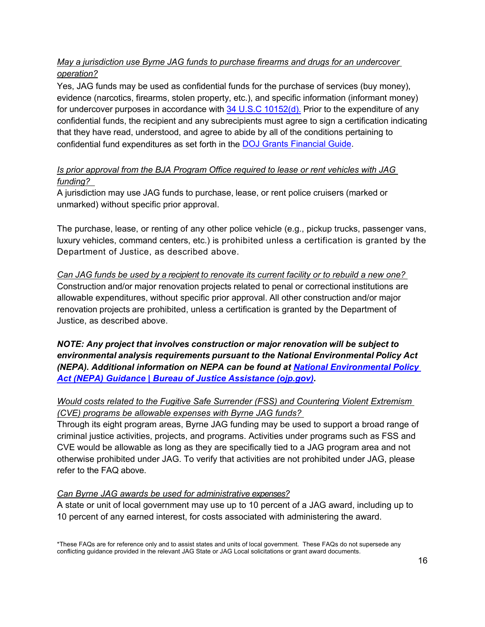## *May a jurisdiction use Byrne JAG funds to purchase firearms and drugs for an undercover operation?*

Yes, JAG funds may be used as confidential funds for the purchase of services (buy money), evidence (narcotics, firearms, stolen property, etc.), and specific information (informant money) for undercover purposes in accordance with  $34$  U.S.C 10152(d). Prior to the expenditure of any confidential funds, the recipient and any subrecipients must agree to sign a certification indicating that they have read, understood, and agree to abide by all of the conditions pertaining to confidential fund expenditures as set forth in the [DOJ Grants Financial Guide.](https://www.ojp.gov/funding/financialguidedoj/overview)

## *Is prior approval from the BJA Program Office required to lease or rent vehicles with JAG funding?*

A jurisdiction may use JAG funds to purchase, lease, or rent police cruisers (marked or unmarked) without specific prior approval.

The purchase, lease, or renting of any other police vehicle (e.g., pickup trucks, passenger vans, luxury vehicles, command centers, etc.) is prohibited unless a certification is granted by the Department of Justice, as described above.

*Can JAG funds be used by a recipient to renovate its current facility or to rebuild a new one?* Construction and/or major renovation projects related to penal or correctional institutions are allowable expenditures, without specific prior approval. All other construction and/or major renovation projects are prohibited, unless a certification is granted by the Department of Justice, as described above.

*NOTE: Any project that involves construction or major renovation will be subject to environmental analysis requirements pursuant to the National Environmental Policy Act (NEPA). Additional information on NEPA can be found at [National Environmental Policy](https://bja.ojp.gov/national-environmental-policy-act-nepa-guidance)  [Act \(NEPA\) Guidance | Bureau of Justice Assistance \(ojp.gov\).](https://bja.ojp.gov/national-environmental-policy-act-nepa-guidance)*

# *Would costs related to the Fugitive Safe Surrender (FSS) and Countering Violent Extremism (CVE) programs be allowable expenses with Byrne JAG funds?*

Through its eight program areas, Byrne JAG funding may be used to support a broad range of criminal justice activities, projects, and programs. Activities under programs such as FSS and CVE would be allowable as long as they are specifically tied to a JAG program area and not otherwise prohibited under JAG. To verify that activities are not prohibited under JAG, please refer to the FAQ above.

### <span id="page-18-0"></span>*Can Byrne JAG awards be used for administrative expenses?*

A state or unit of local government may use up to 10 percent of a JAG award, including up to 10 percent of any earned interest, for costs associated with administering the award.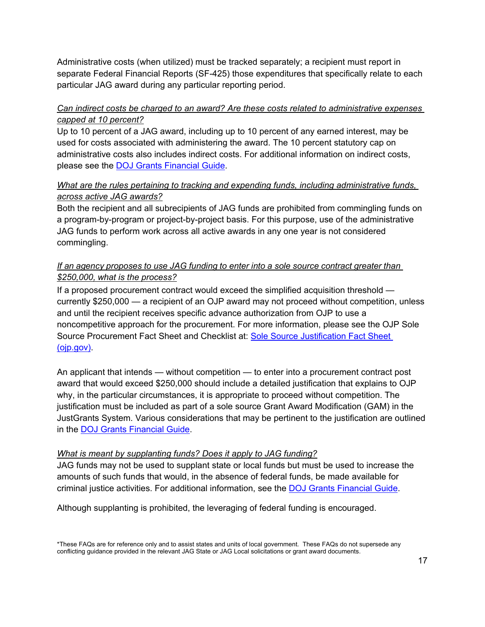Administrative costs (when utilized) must be tracked separately; a recipient must report in separate Federal Financial Reports (SF-425) those expenditures that specifically relate to each particular JAG award during any particular reporting period.

### *Can indirect costs be charged to an award? Are these costs related to administrative expenses capped at 10 percent?*

Up to 10 percent of a JAG award, including up to 10 percent of any earned interest, may be used for costs associated with administering the award. The 10 percent statutory cap on administrative costs also includes indirect costs. For additional information on indirect costs, please see the [DOJ Grants Financial Guide.](https://www.ojp.gov/funding/financialguidedoj/overview)

## *What are the rules pertaining to tracking and expending funds, including administrative funds, across active JAG awards?*

Both the recipient and all subrecipients of JAG funds are prohibited from commingling funds on a program-by-program or project-by-project basis. For this purpose, use of the administrative JAG funds to perform work across all active awards in any one year is not considered commingling.

### <span id="page-19-0"></span>*If an agency proposes to use JAG funding to enter into a sole source contract greater than \$250,000, what is the process?*

If a proposed procurement contract would exceed the simplified acquisition threshold currently \$250,000 — a recipient of an OJP award may not proceed without competition, unless and until the recipient receives specific advance authorization from OJP to use a noncompetitive approach for the procurement. For more information, please see the OJP Sole Source Procurement Fact Sheet and Checklist at: [Sole Source Justification Fact Sheet](https://www.ojp.gov/sites/g/files/xyckuh241/files/media/document/Sole-Source-FactSheet-C.pdf)  [\(ojp.gov\).](https://www.ojp.gov/sites/g/files/xyckuh241/files/media/document/Sole-Source-FactSheet-C.pdf)

An applicant that intends — without competition — to enter into a procurement contract post award that would exceed \$250,000 should include a detailed justification that explains to OJP why, in the particular circumstances, it is appropriate to proceed without competition. The justification must be included as part of a sole source Grant Award Modification (GAM) in the JustGrants System. Various considerations that may be pertinent to the justification are outlined in the [DOJ Grants Financial Guide.](https://www.ojp.gov/funding/financialguidedoj/overview)

### <span id="page-19-1"></span>*What is meant by supplanting funds? Does it apply to JAG funding?*

JAG funds may not be used to supplant state or local funds but must be used to increase the amounts of such funds that would, in the absence of federal funds, be made available for criminal justice activities. For additional information, see the [DOJ Grants Financial Guide.](https://www.ojp.gov/funding/financialguidedoj/overview)

Although supplanting is prohibited, the leveraging of federal funding is encouraged.

<sup>\*</sup>These FAQs are for reference only and to assist states and units of local government. These FAQs do not supersede any conflicting guidance provided in the relevant JAG State or JAG Local solicitations or grant award documents.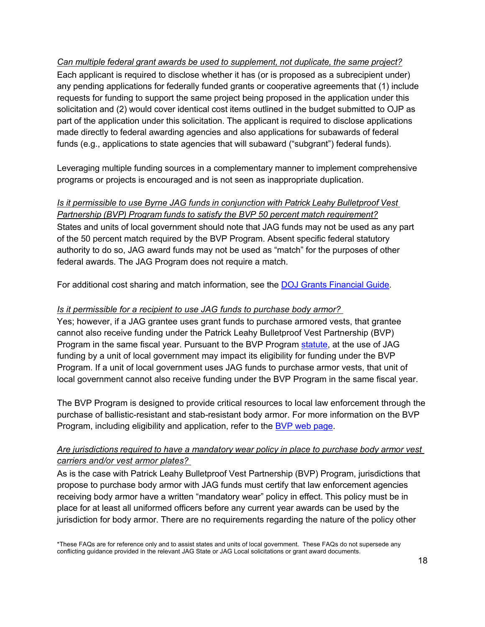*Can multiple federal grant awards be used to supplement, not duplicate, the same project?* Each applicant is required to disclose whether it has (or is proposed as a subrecipient under) any pending applications for federally funded grants or cooperative agreements that (1) include requests for funding to support the same project being proposed in the application under this solicitation and (2) would cover identical cost items outlined in the budget submitted to OJP as part of the application under this solicitation. The applicant is required to disclose applications made directly to federal awarding agencies and also applications for subawards of federal funds (e.g., applications to state agencies that will subaward ("subgrant") federal funds).

Leveraging multiple funding sources in a complementary manner to implement comprehensive programs or projects is encouraged and is not seen as inappropriate duplication.

#### *Is it permissible to use Byrne JAG funds in conjunction with Patrick Leahy Bulletproof Vest Partnership (BVP) Program funds to satisfy the BVP 50 percent match requirement?*

States and units of local government should note that JAG funds may not be used as any part of the 50 percent match required by the BVP Program. Absent specific federal statutory authority to do so, JAG award funds may not be used as "match" for the purposes of other federal awards. The JAG Program does not require a match.

For additional cost sharing and match information, see the [DOJ Grants Financial Guide.](https://www.ojp.gov/funding/financialguidedoj/overview)

## <span id="page-20-0"></span>*Is it permissible for a recipient to use JAG funds to purchase body armor?*

Yes; however, if a JAG grantee uses grant funds to purchase armored vests, that grantee cannot also receive funding under the Patrick Leahy Bulletproof Vest Partnership (BVP) Program in the same fiscal year. Pursuant to the BVP Program [statute,](https://www.congress.gov/105/plaws/publ181/PLAW-105publ181.pdf) at the use of JAG funding by a unit of local government may impact its eligibility for funding under the BVP Program. If a unit of local government uses JAG funds to purchase armor vests, that unit of local government cannot also receive funding under the BVP Program in the same fiscal year.

The BVP Program is designed to provide critical resources to local law enforcement through the purchase of ballistic-resistant and stab-resistant body armor. For more information on the BVP Program, including eligibility and application, refer to the [BVP web page.](https://bja.ojp.gov/program/patrick-leahy-bulletproof-vest-partnership-bvp-program/overview?Program_ID=82)

## *Are jurisdictions required to have a mandatory wear policy in place to purchase body armor vest carriers and/or vest armor plates?*

As is the case with Patrick Leahy Bulletproof Vest Partnership (BVP) Program, jurisdictions that propose to purchase body armor with JAG funds must certify that law enforcement agencies receiving body armor have a written "mandatory wear" policy in effect. This policy must be in place for at least all uniformed officers before any current year awards can be used by the jurisdiction for body armor. There are no requirements regarding the nature of the policy other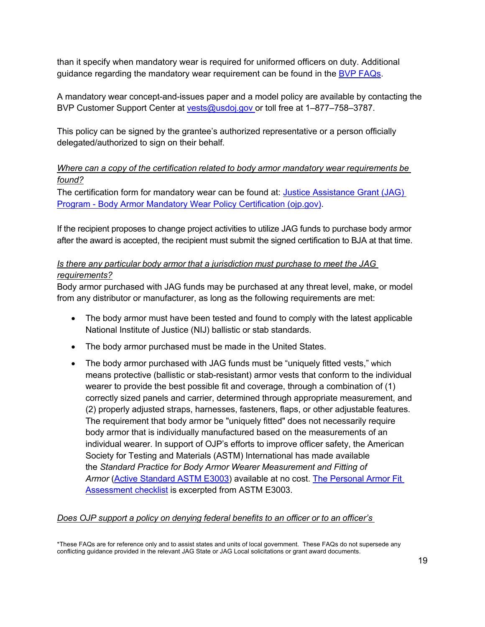than it specify when mandatory wear is required for uniformed officers on duty. Additional guidance regarding the mandatory wear requirement can be found in the **BVP FAQs**.

A mandatory wear concept-and-issues paper and a model policy are available by contacting the BVP Customer Support Center at [vests@usdoj.gov o](mailto:vests@usdoj.gov)r toll free at 1–877–758–3787.

This policy can be signed by the grantee's authorized representative or a person officially delegated/authorized to sign on their behalf.

### *Where can a copy of the certification related to body armor mandatory wear requirements be found?*

The certification form for mandatory wear can be found at: [Justice Assistance Grant \(JAG\)](https://bja.ojp.gov/sites/g/files/xyckuh186/files/media/document/BodyArmorMandatoryWearCert.pdf)  Program - [Body Armor Mandatory Wear Policy Certification \(ojp.gov\).](https://bja.ojp.gov/sites/g/files/xyckuh186/files/media/document/BodyArmorMandatoryWearCert.pdf)

If the recipient proposes to change project activities to utilize JAG funds to purchase body armor after the award is accepted, the recipient must submit the signed certification to BJA at that time.

## *Is there any particular body armor that a jurisdiction must purchase to meet the JAG requirements?*

Body armor purchased with JAG funds may be purchased at any threat level, make, or model from any distributor or manufacturer, as long as the following requirements are met:

- The body armor must have been tested and found to comply with the latest applicable National Institute of Justice (NIJ) ballistic or stab standards.
- The body armor purchased must be made in the United States.
- The body armor purchased with JAG funds must be "uniquely fitted vests," which means protective (ballistic or stab-resistant) armor vests that conform to the individual wearer to provide the best possible fit and coverage, through a combination of (1) correctly sized panels and carrier, determined through appropriate measurement, and (2) properly adjusted straps, harnesses, fasteners, flaps, or other adjustable features. The requirement that body armor be "uniquely fitted" does not necessarily require body armor that is individually manufactured based on the measurements of an individual wearer. In support of OJP's efforts to improve officer safety, the American Society for Testing and Materials (ASTM) International has made available the *Standard Practice for Body Armor Wearer Measurement and Fitting of*  Armor [\(Active Standard ASTM E3003\)](https://www.astm.org/NIJ/bodyArmorFit) available at no cost. The Personal Armor Fit [Assessment checklist](https://www.ojp.gov/pdffiles1/nij/nlectc/250267.pdf) is excerpted from ASTM E3003.

### *Does OJP support a policy on denying federal benefits to an officer or to an officer's*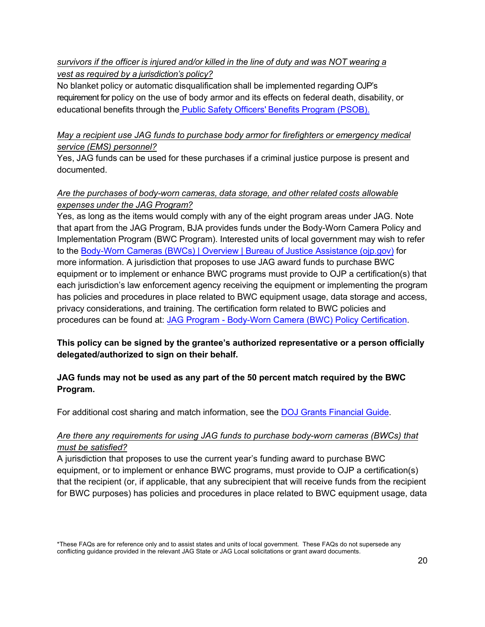## *survivors if the officer is injured and/or killed in the line of duty and was NOT wearing a vest as required by a jurisdiction's policy?*

No blanket policy or automatic disqualification shall be implemented regarding OJP's requirement for policy on the use of body armor and its effects on federal death, disability, or educational benefits through the Public Safety Officers' [Benefits Program \(PSOB\).](https://psob.bja.ojp.gov/)

### *May a recipient use JAG funds to purchase body armor for firefighters or emergency medical service (EMS) personnel?*

Yes, JAG funds can be used for these purchases if a criminal justice purpose is present and documented.

## <span id="page-22-0"></span>*Are the purchases of body-worn cameras, data storage, and other related costs allowable expenses under the JAG Program?*

Yes, as long as the items would comply with any of the eight program areas under JAG. Note that apart from the JAG Program, BJA provides funds under the Body-Worn Camera Policy and Implementation Program (BWC Program). Interested units of local government may wish to refer to th[e Body-Worn Cameras \(BWCs\) | Overview](https://bja.ojp.gov/program/body-worn-cameras-bwcs/overview?Program_ID=115) | Bureau of Justice Assistance (ojp.gov) for more information. A jurisdiction that proposes to use JAG award funds to purchase BWC equipment or to implement or enhance BWC programs must provide to OJP a certification(s) that each jurisdiction's law enforcement agency receiving the equipment or implementing the program has policies and procedures in place related to BWC equipment usage, data storage and access, privacy considerations, and training. The certification form related to BWC policies and procedures can be found at: [JAG Program - Body-Worn Camera \(BWC\) Policy Certification](https://bja.ojp.gov/sites/g/files/xyckuh186/files/media/document/fy-21-jag-body-worn-camera-policy-cert.pdf).

## **This policy can be signed by the grantee's authorized representative or a person officially delegated/authorized to sign on their behalf.**

## **JAG funds may not be used as any part of the 50 percent match required by the BWC Program.**

For additional cost sharing and match information, see the [DOJ Grants Financial Guide.](https://www.ojp.gov/funding/financialguidedoj/overview)

### *Are there any requirements for using JAG funds to purchase body-worn cameras (BWCs) that must be satisfied?*

A jurisdiction that proposes to use the current year's funding award to purchase BWC equipment, or to implement or enhance BWC programs, must provide to OJP a certification(s) that the recipient (or, if applicable, that any subrecipient that will receive funds from the recipient for BWC purposes) has policies and procedures in place related to BWC equipment usage, data

<sup>\*</sup>These FAQs are for reference only and to assist states and units of local government. These FAQs do not supersede any conflicting guidance provided in the relevant JAG State or JAG Local solicitations or grant award documents.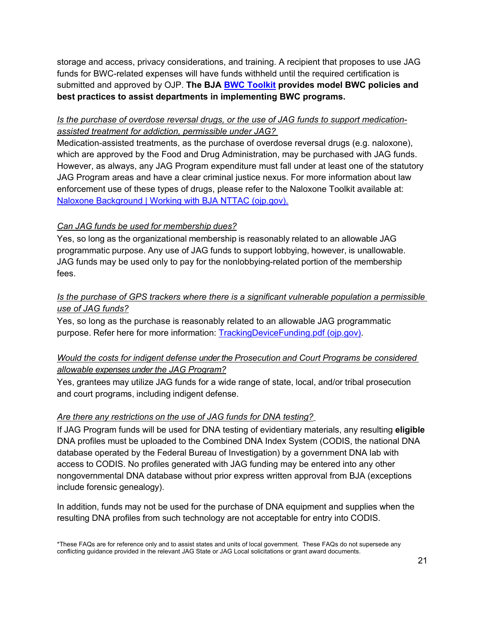storage and access, privacy considerations, and training. A recipient that proposes to use JAG funds for BWC-related expenses will have funds withheld until the required certification is submitted and approved by OJP. **The BJA [BWC Toolkit](https://bja.ojp.gov/program/bwc#gcov4e) provides model BWC policies and best practices to assist departments in implementing BWC programs.**

### <span id="page-23-0"></span>*Is the purchase of overdose reversal drugs, or the use of JAG funds to support medicationassisted treatment for addiction, permissible under JAG?*

Medication-assisted treatments, as the purchase of overdose reversal drugs (e.g. naloxone), which are approved by the Food and Drug Administration, may be purchased with JAG funds. However, as always, any JAG Program expenditure must fall under at least one of the statutory JAG Program areas and have a clear criminal justice nexus. For more information about law enforcement use of these types of drugs, please refer to the Naloxone Toolkit available at: [Naloxone Background | Working with BJA NTTAC \(ojp.gov\).](https://bjatta.bja.ojp.gov/tools/naloxone/Naloxone-Background)

## <span id="page-23-1"></span>*Can JAG funds be used for membership dues?*

Yes, so long as the organizational membership is reasonably related to an allowable JAG programmatic purpose. Any use of JAG funds to support lobbying, however, is unallowable. JAG funds may be used only to pay for the nonlobbying-related portion of the membership fees.

## <span id="page-23-2"></span>*Is the purchase of GPS trackers where there is a significant vulnerable population a permissible use of JAG funds?*

Yes, so long as the purchase is reasonably related to an allowable JAG programmatic purpose. Refer here for more information: [TrackingDeviceFunding.pdf \(ojp.gov\).](https://bja.ojp.gov/sites/g/files/xyckuh186/files/media/document/TrackingDeviceFunding.pdf)

## <span id="page-23-3"></span>*Would the costs for indigent defense under the Prosecution and Court Programs be considered allowable expenses under the JAG Program?*

Yes, grantees may utilize JAG funds for a wide range of state, local, and/or tribal prosecution and court programs, including indigent defense.

### <span id="page-23-4"></span>*Are there any restrictions on the use of JAG funds for DNA testing?*

If JAG Program funds will be used for DNA testing of evidentiary materials, any resulting **eligible**  DNA profiles must be uploaded to the Combined DNA Index System (CODIS, the national DNA database operated by the Federal Bureau of Investigation) by a government DNA lab with access to CODIS. No profiles generated with JAG funding may be entered into any other nongovernmental DNA database without prior express written approval from BJA (exceptions include forensic genealogy).

In addition, funds may not be used for the purchase of DNA equipment and supplies when the resulting DNA profiles from such technology are not acceptable for entry into CODIS.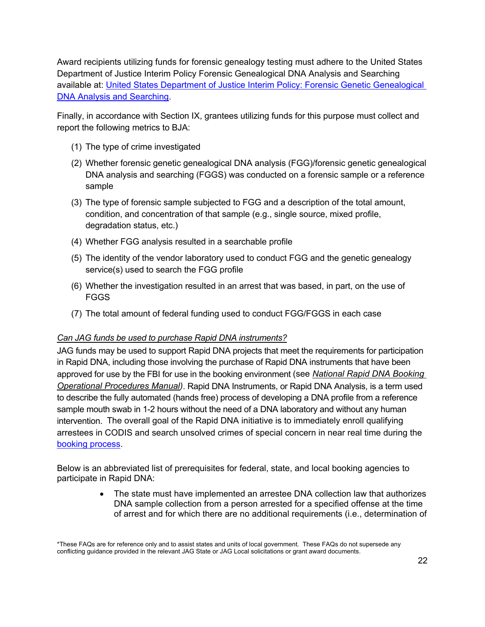Award recipients utilizing funds for forensic genealogy testing must adhere to the United States Department of Justice Interim Policy Forensic Genealogical DNA Analysis and Searching available at: [United States Department of Justice Interim Policy: Forensic Genetic Genealogical](https://www.justice.gov/olp/page/file/1204386/download)  [DNA Analysis and Searching.](https://www.justice.gov/olp/page/file/1204386/download)

Finally, in accordance with Section IX, grantees utilizing funds for this purpose must collect and report the following metrics to BJA:

- (1) The type of crime investigated
- (2) Whether forensic genetic genealogical DNA analysis (FGG)/forensic genetic genealogical DNA analysis and searching (FGGS) was conducted on a forensic sample or a reference sample
- (3) The type of forensic sample subjected to FGG and a description of the total amount, condition, and concentration of that sample (e.g., single source, mixed profile, degradation status, etc.)
- (4) Whether FGG analysis resulted in a searchable profile
- (5) The identity of the vendor laboratory used to conduct FGG and the genetic genealogy service(s) used to search the FGG profile
- (6) Whether the investigation resulted in an arrest that was based, in part, on the use of FGGS
- (7) The total amount of federal funding used to conduct FGG/FGGS in each case

#### <span id="page-24-0"></span>*Can JAG funds be used to purchase Rapid DNA instruments?*

JAG funds may be used to support Rapid DNA projects that meet the requirements for participation in Rapid DNA, including those involving the purchase of Rapid DNA instruments that have been approved for use by the FBI for use in the booking environment (see *[National Rapid DNA Booking](https://www.fbi.gov/file-repository/national-rapid-dna-booking-operational-procedures-manual-eff-090120.pdf/view)  [Operational Procedures Manual\)](https://www.fbi.gov/file-repository/national-rapid-dna-booking-operational-procedures-manual-eff-090120.pdf/view)*. Rapid DNA Instruments, or Rapid DNA Analysis, is a term used to describe the fully automated (hands free) process of developing a DNA profile from a reference sample mouth swab in 1-2 hours without the need of a DNA laboratory and without any human intervention. The overall goal of the Rapid DNA initiative is to immediately enroll qualifying arrestees in CODIS and search unsolved crimes of special concern in near real time during the [booking process.](https://www.fbi.gov/file-repository/codis-rapid-dna-infographic-2019.pdf/view)

Below is an abbreviated list of prerequisites for federal, state, and local booking agencies to participate in Rapid DNA:

> • The state must have implemented an arrestee DNA collection law that authorizes DNA sample collection from a person arrested for a specified offense at the time of arrest and for which there are no additional requirements (i.e., determination of

<sup>\*</sup>These FAQs are for reference only and to assist states and units of local government. These FAQs do not supersede any conflicting guidance provided in the relevant JAG State or JAG Local solicitations or grant award documents.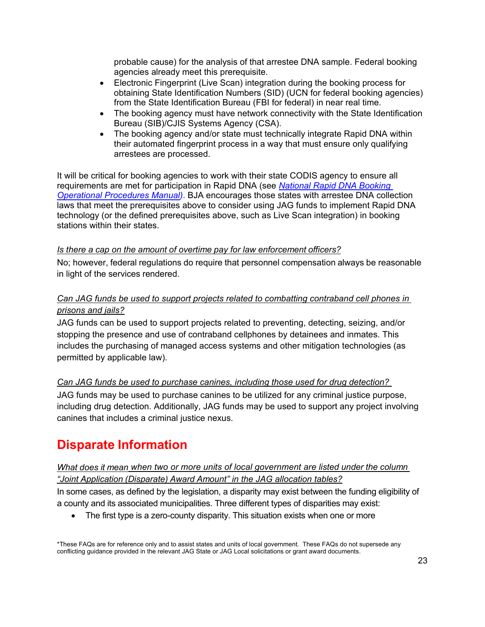probable cause) for the analysis of that arrestee DNA sample. Federal booking agencies already meet this prerequisite.

- Electronic Fingerprint (Live Scan) integration during the booking process for obtaining State Identification Numbers (SID) (UCN for federal booking agencies) from the State Identification Bureau (FBI for federal) in near real time.
- The booking agency must have network connectivity with the State Identification Bureau (SIB)/CJIS Systems Agency (CSA).
- The booking agency and/or state must technically integrate Rapid DNA within their automated fingerprint process in a way that must ensure only qualifying arrestees are processed.

It will be critical for booking agencies to work with their state CODIS agency to ensure all requirements are met for participation in Rapid DNA (see *[National Rapid DNA Booking](https://www.fbi.gov/file-repository/national-rapid-dna-booking-operational-procedures-manual-eff-090120.pdf/view)  [Operational Procedures Manual\)](https://www.fbi.gov/file-repository/national-rapid-dna-booking-operational-procedures-manual-eff-090120.pdf/view)*. BJA encourages those states with arrestee DNA collection laws that meet the prerequisites above to consider using JAG funds to implement Rapid DNA technology (or the defined prerequisites above, such as Live Scan integration) in booking stations within their states.

### *Is there a cap on the amount of overtime pay for law enforcement officers?*

No; however, federal regulations do require that personnel compensation always be reasonable in light of the services rendered.

## <span id="page-25-0"></span>*Can JAG funds be used to support projects related to combatting contraband cell phones in prisons and jails?*

JAG funds can be used to support projects related to preventing, detecting, seizing, and/or stopping the presence and use of contraband cellphones by detainees and inmates. This includes the purchasing of managed access systems and other mitigation technologies (as permitted by applicable law).

## <span id="page-25-1"></span>*Can JAG funds be used to purchase canines, including those used for drug detection?*

JAG funds may be used to purchase canines to be utilized for any criminal justice purpose, including drug detection. Additionally, JAG funds may be used to support any project involving canines that includes a criminal justice nexus.

# **Disparate Information**

## <span id="page-25-2"></span>*What does it mean when two or more units of local government are listed under the column "Joint Application (Disparate) Award Amount" in the JAG allocation tables?*

In some cases, as defined by the legislation, a disparity may exist between the funding eligibility of a county and its associated municipalities. Three different types of disparities may exist:

• The first type is a zero-county disparity. This situation exists when one or more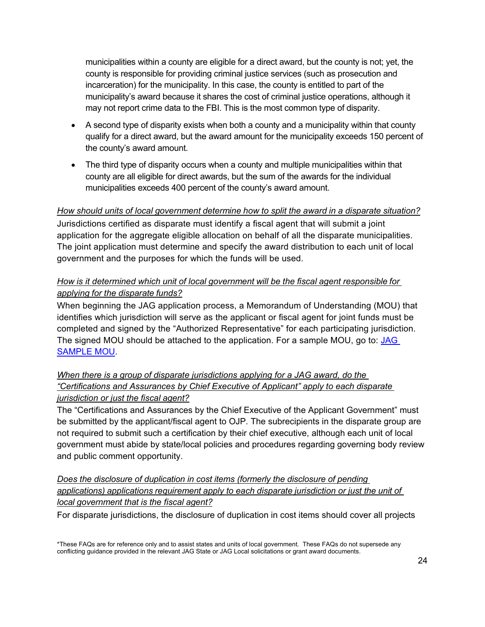municipalities within a county are eligible for a direct award, but the county is not; yet, the county is responsible for providing criminal justice services (such as prosecution and incarceration) for the municipality. In this case, the county is entitled to part of the municipality's award because it shares the cost of criminal justice operations, although it may not report crime data to the FBI. This is the most common type of disparity.

- A second type of disparity exists when both a county and a municipality within that county qualify for a direct award, but the award amount for the municipality exceeds 150 percent of the county's award amount.
- The third type of disparity occurs when a county and multiple municipalities within that county are all eligible for direct awards, but the sum of the awards for the individual municipalities exceeds 400 percent of the county's award amount.

### *How should units of local government determine how to split the award in a disparate situation?*

Jurisdictions certified as disparate must identify a fiscal agent that will submit a joint application for the aggregate eligible allocation on behalf of all the disparate municipalities. The joint application must determine and specify the award distribution to each unit of local government and the purposes for which the funds will be used.

## <span id="page-26-0"></span>*How is it determined which unit of local government will be the fiscal agent responsible for applying for the disparate funds?*

When beginning the JAG application process, a Memorandum of Understanding (MOU) that identifies which jurisdiction will serve as the applicant or fiscal agent for joint funds must be completed and signed by the "Authorized Representative" for each participating jurisdiction. The signed MOU should be attached to the application. For a sample MOU, go to: [JAG](https://bja.ojp.gov/sites/g/files/xyckuh186/files/media/document/JAGMOU.pdf)  [SAMPLE MOU.](https://bja.ojp.gov/sites/g/files/xyckuh186/files/media/document/JAGMOU.pdf)

## <span id="page-26-1"></span>*When there is a group of disparate jurisdictions applying for a JAG award, do the "Certifications and Assurances by Chief Executive of Applicant" apply to each disparate jurisdiction or just the fiscal agent?*

The "Certifications and Assurances by the Chief Executive of the Applicant Government" must be submitted by the applicant/fiscal agent to OJP*.* The subrecipients in the disparate group are not required to submit such a certification by their chief executive, although each unit of local government must abide by state/local policies and procedures regarding governing body review and public comment opportunity.

## <span id="page-26-2"></span>*Does the disclosure of duplication in cost items (formerly the disclosure of pending applications) applications requirement apply to each disparate jurisdiction or just the unit of local government that is the fiscal agent?*

For disparate jurisdictions, the disclosure of duplication in cost items should cover all projects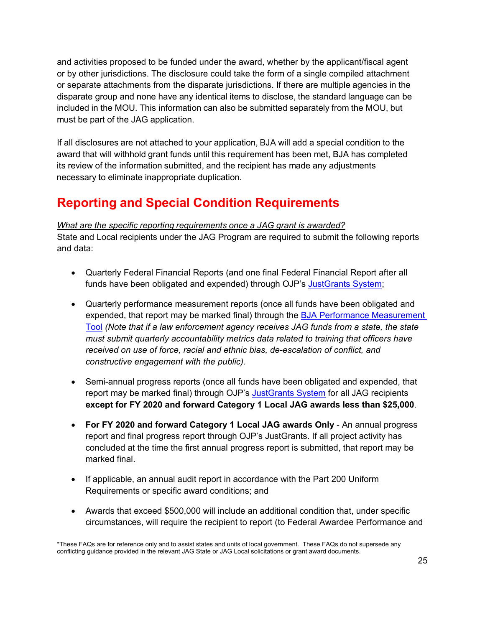and activities proposed to be funded under the award, whether by the applicant/fiscal agent or by other jurisdictions. The disclosure could take the form of a single compiled attachment or separate attachments from the disparate jurisdictions. If there are multiple agencies in the disparate group and none have any identical items to disclose, the standard language can be included in the MOU. This information can also be submitted separately from the MOU, but must be part of the JAG application.

If all disclosures are not attached to your application, BJA will add a special condition to the award that will withhold grant funds until this requirement has been met, BJA has completed its review of the information submitted, and the recipient has made any adjustments necessary to eliminate inappropriate duplication.

# **Reporting and Special Condition Requirements**

### <span id="page-27-0"></span>*What are the specific reporting requirements once a JAG grant is awarded?*

State and Local recipients under the JAG Program are required to submit the following reports and data:

- Quarterly Federal Financial Reports (and one final Federal Financial Report after all funds have been obligated and expended) through OJP's [JustGrants System;](https://justicegrants.usdoj.gov/)
- Quarterly performance measurement reports (once all funds have been obligated and expended, that report may be marked final) through the [BJA Performance Measurement](https://bjapmt.ojp.gov/help/jagdocs.html)  [Tool](https://bjapmt.ojp.gov/help/jagdocs.html) *(Note that if a law enforcement agency receives JAG funds from a state, the state must submit quarterly accountability metrics data related to training that officers have received on use of force, racial and ethnic bias, de-escalation of conflict, and constructive engagement with the public).*
- Semi-annual progress reports (once all funds have been obligated and expended, that report may be marked final) through OJP's [JustGrants System](https://justicegrants.usdoj.gov/) for all JAG recipients **except for FY 2020 and forward Category 1 Local JAG awards less than \$25,000**.
- **For FY 2020 and forward Category 1 Local JAG awards Only** An annual progress report and final progress report through OJP's JustGrants. If all project activity has concluded at the time the first annual progress report is submitted, that report may be marked final.
- If applicable, an annual audit report in accordance with the Part 200 Uniform Requirements or specific award conditions; and
- Awards that exceed \$500,000 will include an additional condition that, under specific circumstances, will require the recipient to report (to Federal Awardee Performance and

<sup>\*</sup>These FAQs are for reference only and to assist states and units of local government. These FAQs do not supersede any conflicting guidance provided in the relevant JAG State or JAG Local solicitations or grant award documents.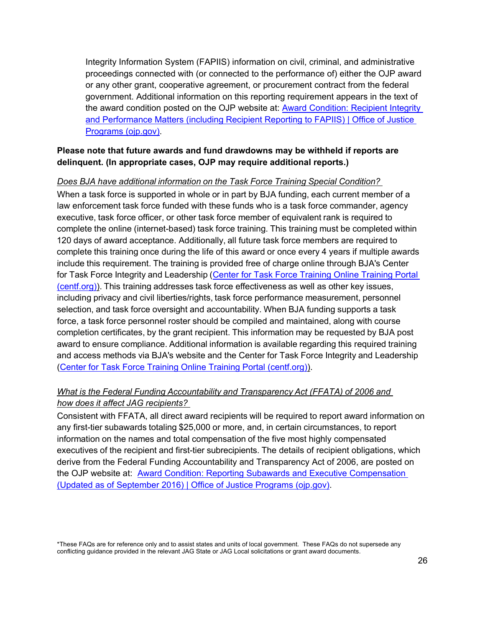Integrity Information System (FAPIIS) information on civil, criminal, and administrative proceedings connected with (or connected to the performance of) either the OJP award or any other grant, cooperative agreement, or procurement contract from the federal government. Additional information on this reporting requirement appears in the text of the award condition posted on the OJP website at: **Award Condition: Recipient Integrity** [and Performance Matters \(including Recipient Reporting to FAPIIS\) | Office of Justice](https://www.ojp.gov/funding/fapiis)  [Programs \(ojp.gov\).](https://www.ojp.gov/funding/fapiis)

#### **Please note that future awards and fund drawdowns may be withheld if reports are delinquent. (In appropriate cases, OJP may require additional reports.)**

<span id="page-28-0"></span>*Does BJA have additional information on the Task Force Training Special Condition?* When a task force is supported in whole or in part by BJA funding, each current member of a law enforcement task force funded with these funds who is a task force commander, agency executive, task force officer, or other task force member of equivalent rank is required to complete the online (internet-based) task force training. This training must be completed within 120 days of award acceptance. Additionally, all future task force members are required to complete this training once during the life of this award or once every 4 years if multiple awards include this requirement. The training is provided free of charge online through BJA's Center for Task Force Integrity and Leadership [\(Center for Task Force Training Online Training Portal](https://www.centf.org/CTFLI/)  [\(centf.org\)\)](https://www.centf.org/CTFLI/). This training addresses task force effectiveness as well as other key issues, including privacy and civil liberties/rights, task force performance measurement, personnel selection, and task force oversight and accountability. When BJA funding supports a task force, a task force personnel roster should be compiled and maintained, along with course completion certificates, by the grant recipient. This information may be requested by BJA post award to ensure compliance. Additional information is available regarding this required training and access methods via BJA's website and the Center for Task Force Integrity and Leadership [\(Center for Task Force Training Online Training Portal \(centf.org\)\)](https://www.centf.org/CTFLI/).

### <span id="page-28-1"></span>*What is the Federal Funding Accountability and Transparency Act (FFATA) of 2006 and how does it affect JAG recipients?*

Consistent with FFATA, all direct award recipients will be required to report award information on any first-tier subawards totaling \$25,000 or more, and, in certain circumstances, to report information on the names and total compensation of the five most highly compensated executives of the recipient and first-tier subrecipients. The details of recipient obligations, which derive from the Federal Funding Accountability and Transparency Act of 2006, are posted on the OJP website at: [Award Condition: Reporting Subawards and Executive Compensation](https://www.ojp.gov/funding/explore/ffata)  (Updated as of September 2016) [| Office of Justice Programs \(ojp.gov\).](https://www.ojp.gov/funding/explore/ffata)

<span id="page-28-2"></span><sup>\*</sup>These FAQs are for reference only and to assist states and units of local government. These FAQs do not supersede any conflicting guidance provided in the relevant JAG State or JAG Local solicitations or grant award documents.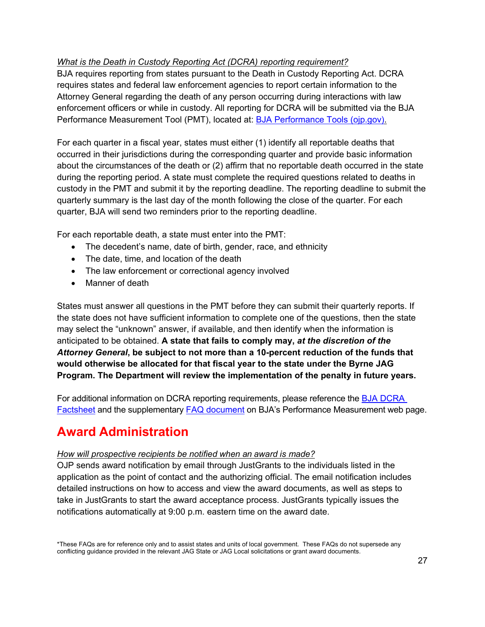### *What is the Death in Custody Reporting Act (DCRA) reporting requirement?*

BJA requires reporting from states pursuant to the Death in Custody Reporting Act. DCRA requires states and federal law enforcement agencies to report certain information to the Attorney General regarding the death of any person occurring during interactions with law enforcement officers or while in custody. All reporting for DCRA will be submitted via the BJA Performance Measurement Tool (PMT), located at: [BJA Performance Tools \(ojp.gov\).](https://bjapmt.ojp.gov/)

For each quarter in a fiscal year, states must either (1) identify all reportable deaths that occurred in their jurisdictions during the corresponding quarter and provide basic information about the circumstances of the death or (2) affirm that no reportable death occurred in the state during the reporting period. A state must complete the required questions related to deaths in custody in the PMT and submit it by the reporting deadline. The reporting deadline to submit the quarterly summary is the last day of the month following the close of the quarter. For each quarter, BJA will send two reminders prior to the reporting deadline.

For each reportable death, a state must enter into the PMT:

- The decedent's name, date of birth, gender, race, and ethnicity
- The date, time, and location of the death
- The law enforcement or correctional agency involved
- Manner of death

States must answer all questions in the PMT before they can submit their quarterly reports. If the state does not have sufficient information to complete one of the questions, then the state may select the "unknown" answer, if available, and then identify when the information is anticipated to be obtained. **A state that fails to comply may,** *at the discretion of the Attorney General***, be subject to not more than a 10-percent reduction of the funds that would otherwise be allocated for that fiscal year to the state under the Byrne JAG Program. The Department will review the implementation of the penalty in future years.**

For additional information on DCRA reporting requirements, please reference the [BJA DCRA](https://bja.ojp.gov/sites/g/files/xyckuh186/files/media/document/DCRA-Factsheet.pdf)  [Factsheet](https://bja.ojp.gov/sites/g/files/xyckuh186/files/media/document/DCRA-Factsheet.pdf) and the supplementary [FAQ document](https://bja.ojp.gov/sites/g/files/xyckuh186/files/media/document/DCRA-FAQ_508.pdf) on BJA's Performance Measurement web page.

# **Award Administration**

### <span id="page-29-0"></span>*How will prospective recipients be notified when an award is made?*

OJP sends award notification by email through JustGrants to the individuals listed in the application as the point of contact and the authorizing official. The email notification includes detailed instructions on how to access and view the award documents, as well as steps to take in JustGrants to start the award acceptance process. JustGrants typically issues the notifications automatically at 9:00 p.m. eastern time on the award date.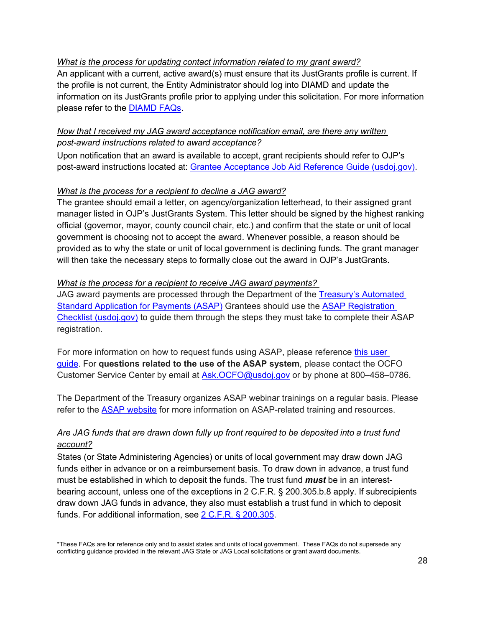#### <span id="page-30-0"></span>*What is the process for updating contact information related to my grant award?*

An applicant with a current, active award(s) must ensure that its JustGrants profile is current. If the profile is not current, the Entity Administrator should log into DIAMD and update the information on its JustGrants profile prior to applying under this solicitation. For more information please refer to the [DIAMD FAQs.](https://justicegrants.usdoj.gov/sites/g/files/xyckuh296/files/media/document/diamd-faqs.pdf)

#### <span id="page-30-1"></span>*Now that I received my JAG award acceptance notification email, are there any written post-award instructions related to award acceptance?*

Upon notification that an award is available to accept, grant recipients should refer to OJP's post-award instructions located at: [Grantee Acceptance Job Aid Reference Guide \(usdoj.gov\).](https://justicegrants.usdoj.gov/sites/g/files/xyckuh296/files/media/document/jarg-grantee-accept.pdf)

#### *What is the process for a recipient to decline a JAG award?*

The grantee should email a letter, on agency/organization letterhead, to their assigned grant manager listed in OJP's JustGrants System. This letter should be signed by the highest ranking official (governor, mayor, county council chair, etc.) and confirm that the state or unit of local government is choosing not to accept the award. Whenever possible, a reason should be provided as to why the state or unit of local government is declining funds. The grant manager will then take the necessary steps to formally close out the award in OJP's JustGrants.

#### <span id="page-30-2"></span>*What is the process for a recipient to receive JAG award payments?*

JAG award payments are processed through the Department of the [Treasury's Automated](https://fiscal.treasury.gov/asap/)  Standard Application [for Payments \(ASAP\)](https://fiscal.treasury.gov/asap/) Grantees should use the [ASAP Registration](https://justicegrants.usdoj.gov/sites/g/files/xyckuh296/files/media/document/ASAP_Registration_Checklist.pdf)  [Checklist \(usdoj.gov\)](https://justicegrants.usdoj.gov/sites/g/files/xyckuh296/files/media/document/ASAP_Registration_Checklist.pdf) to guide them through the steps they must take to complete their ASAP registration.

For more information on how to request funds using ASAP, please reference [this user](https://justicegrants.usdoj.gov/sites/g/files/xyckuh296/files/media/document/training-user-guide-asap.pdf)  [guide.](https://justicegrants.usdoj.gov/sites/g/files/xyckuh296/files/media/document/training-user-guide-asap.pdf) For **questions related to the use of the ASAP system**, please contact the OCFO Customer Service Center by email at [Ask.OCFO@usdoj.gov](mailto:Ask.OCFO@usdoj.gov) or by phone at 800–458–0786.

The Department of the Treasury organizes ASAP webinar trainings on a regular basis. Please refer to the [ASAP website](https://fiscal.treasury.gov/asap/) for more information on ASAP-related training and resources.

### <span id="page-30-3"></span>*Are JAG funds that are drawn down fully up front required to be deposited into a trust fund account?*

States (or State Administering Agencies) or units of local government may draw down JAG funds either in advance or on a reimbursement basis. To draw down in advance, a trust fund must be established in which to deposit the funds. The trust fund *must* be in an interestbearing account, unless one of the exceptions in 2 C.F.R. § 200.305.b.8 apply. If subrecipients draw down JAG funds in advance, they also must establish a trust fund in which to deposit funds. For additional information, see [2 C.F.R. § 200.305.](https://ecfr.io/Title-2/Section-200.305)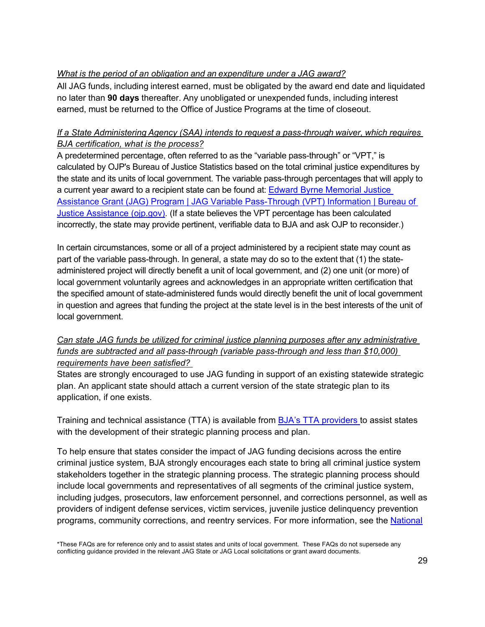## <span id="page-31-0"></span>*What is the period of an obligation and an expenditure under a JAG award?*

All JAG funds, including interest earned, must be obligated by the award end date and liquidated no later than **90 days** thereafter. Any unobligated or unexpended funds, including interest earned, must be returned to the Office of Justice Programs at the time of closeout.

## <span id="page-31-2"></span>*If a State Administering Agency (SAA) intends to request a pass-through waiver, which requires BJA certification, what is the process?*

A predetermined percentage, often referred to as the "variable pass-through" or "VPT," is calculated by OJP's Bureau of Justice Statistics based on the total criminal justice expenditures by the state and its units of local government. The variable pass-through percentages that will apply to a current year award to a recipient state can be found at: [Edward Byrne Memorial Justice](https://bja.ojp.gov/program/jag/jag-variable-pass-through-vpt-information)  [Assistance Grant \(JAG\) Program | JAG Variable Pass-Through \(VPT\) Information | Bureau of](https://bja.ojp.gov/program/jag/jag-variable-pass-through-vpt-information)  [Justice Assistance \(ojp.gov\).](https://bja.ojp.gov/program/jag/jag-variable-pass-through-vpt-information) (If a state believes the VPT percentage has been calculated incorrectly, the state may provide pertinent, verifiable data to BJA and ask OJP to reconsider.)

In certain circumstances, some or all of a project administered by a recipient state may count as part of the variable pass-through. In general, a state may do so to the extent that (1) the stateadministered project will directly benefit a unit of local government, and (2) one unit (or more) of local government voluntarily agrees and acknowledges in an appropriate written certification that the specified amount of state-administered funds would directly benefit the unit of local government in question and agrees that funding the project at the state level is in the best interests of the unit of local government.

### <span id="page-31-1"></span>*Can state JAG funds be utilized for criminal justice planning purposes after any administrative funds are subtracted and all pass-through (variable pass-through and less than \$10,000) requirements have been satisfied?*

States are strongly encouraged to use JAG funding in support of an existing statewide strategic plan. An applicant state should attach a current version of the state strategic plan to its application, if one exists.

Training and technical assistance (TTA) is available from [BJA's TTA providers t](https://bjatta.bja.ojp.gov/)o assist states with the development of their strategic planning process and plan.

To help ensure that states consider the impact of JAG funding decisions across the entire criminal justice system, BJA strongly encourages each state to bring all criminal justice system stakeholders together in the strategic planning process. The strategic planning process should include local governments and representatives of all segments of the criminal justice system, including judges, prosecutors, law enforcement personnel, and corrections personnel, as well as providers of indigent defense services, victim services, juvenile justice delinquency prevention programs, community corrections, and reentry services. For more information, see the [National](http://www.ncja.org/home)